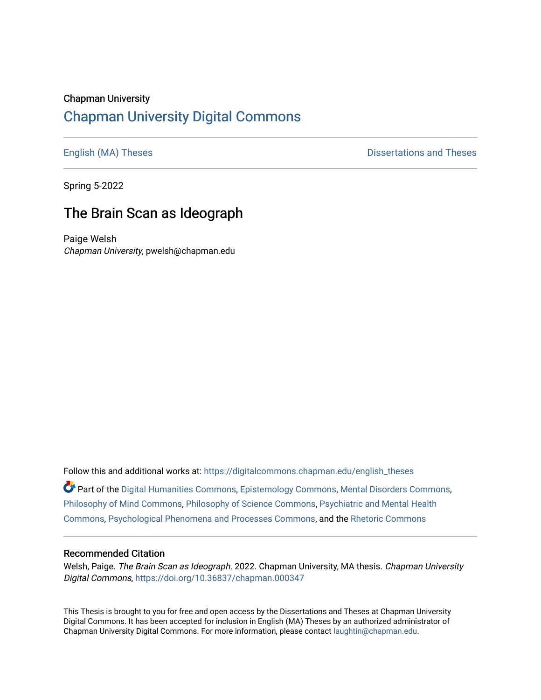## Chapman University [Chapman University Digital Commons](https://digitalcommons.chapman.edu/)

[English \(MA\) Theses](https://digitalcommons.chapman.edu/english_theses) **Dissertations and Theses** 

Spring 5-2022

## The Brain Scan as Ideograph

Paige Welsh Chapman University, pwelsh@chapman.edu

Follow this and additional works at: [https://digitalcommons.chapman.edu/english\\_theses](https://digitalcommons.chapman.edu/english_theses?utm_source=digitalcommons.chapman.edu%2Fenglish_theses%2F44&utm_medium=PDF&utm_campaign=PDFCoverPages) 

Part of the [Digital Humanities Commons](http://network.bepress.com/hgg/discipline/1286?utm_source=digitalcommons.chapman.edu%2Fenglish_theses%2F44&utm_medium=PDF&utm_campaign=PDFCoverPages), [Epistemology Commons,](http://network.bepress.com/hgg/discipline/527?utm_source=digitalcommons.chapman.edu%2Fenglish_theses%2F44&utm_medium=PDF&utm_campaign=PDFCoverPages) [Mental Disorders Commons,](http://network.bepress.com/hgg/discipline/968?utm_source=digitalcommons.chapman.edu%2Fenglish_theses%2F44&utm_medium=PDF&utm_campaign=PDFCoverPages) [Philosophy of Mind Commons](http://network.bepress.com/hgg/discipline/535?utm_source=digitalcommons.chapman.edu%2Fenglish_theses%2F44&utm_medium=PDF&utm_campaign=PDFCoverPages), [Philosophy of Science Commons](http://network.bepress.com/hgg/discipline/536?utm_source=digitalcommons.chapman.edu%2Fenglish_theses%2F44&utm_medium=PDF&utm_campaign=PDFCoverPages), [Psychiatric and Mental Health](http://network.bepress.com/hgg/discipline/711?utm_source=digitalcommons.chapman.edu%2Fenglish_theses%2F44&utm_medium=PDF&utm_campaign=PDFCoverPages)  [Commons](http://network.bepress.com/hgg/discipline/711?utm_source=digitalcommons.chapman.edu%2Fenglish_theses%2F44&utm_medium=PDF&utm_campaign=PDFCoverPages), [Psychological Phenomena and Processes Commons,](http://network.bepress.com/hgg/discipline/914?utm_source=digitalcommons.chapman.edu%2Fenglish_theses%2F44&utm_medium=PDF&utm_campaign=PDFCoverPages) and the [Rhetoric Commons](http://network.bepress.com/hgg/discipline/575?utm_source=digitalcommons.chapman.edu%2Fenglish_theses%2F44&utm_medium=PDF&utm_campaign=PDFCoverPages) 

#### Recommended Citation

Welsh, Paige. The Brain Scan as Ideograph. 2022. Chapman University, MA thesis. Chapman University Digital Commons,<https://doi.org/10.36837/chapman.000347>

This Thesis is brought to you for free and open access by the Dissertations and Theses at Chapman University Digital Commons. It has been accepted for inclusion in English (MA) Theses by an authorized administrator of Chapman University Digital Commons. For more information, please contact [laughtin@chapman.edu](mailto:laughtin@chapman.edu).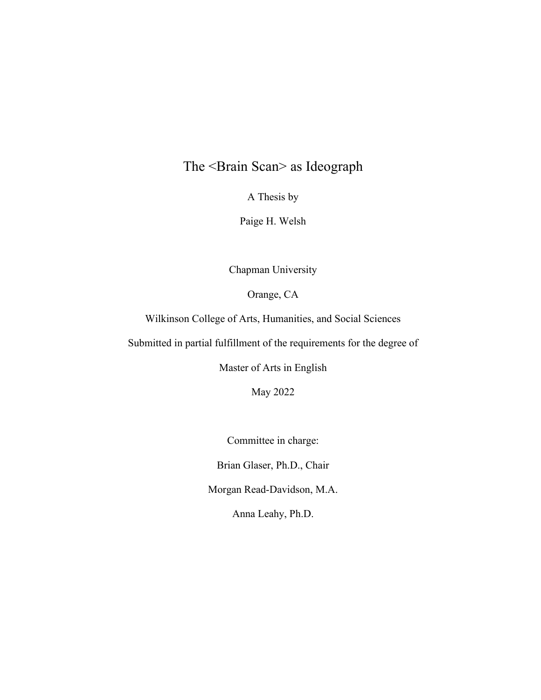## The <Brain Scan> as Ideograph

A Thesis by

Paige H. Welsh

Chapman University

Orange, CA

Wilkinson College of Arts, Humanities, and Social Sciences

Submitted in partial fulfillment of the requirements for the degree of

Master of Arts in English

May 2022

Committee in charge:

Brian Glaser, Ph.D., Chair

Morgan Read-Davidson, M.A.

Anna Leahy, Ph.D.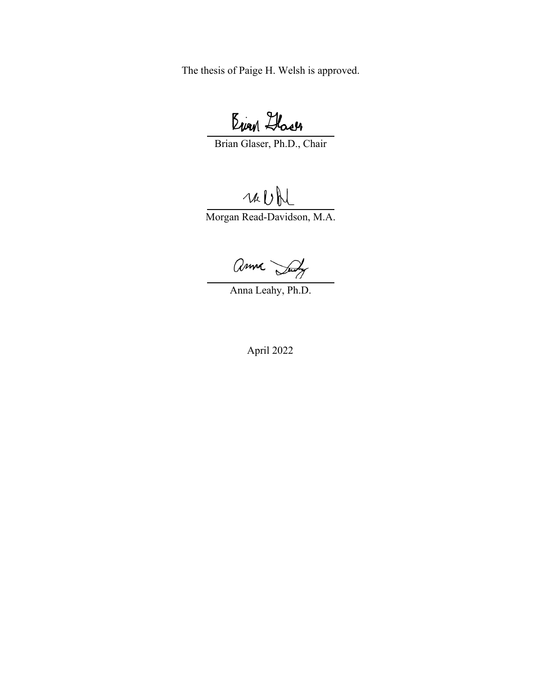The thesis of Paige H. Welsh is approved.

Evan Hach

Brian Glaser, Ph.D., Chair

rabh

Morgan Read-Davidson, M.A.

anne Sudy

Anna Leahy, Ph.D.

April 2022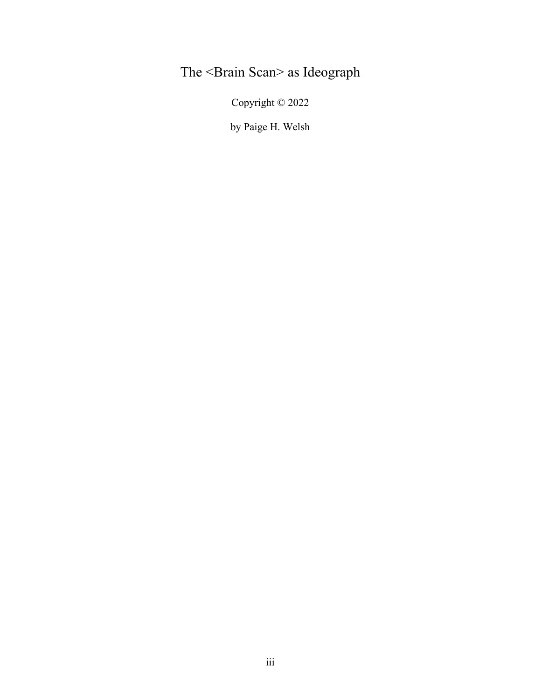# The <Brain Scan> as Ideograph

Copyright © 2022

by Paige H. Welsh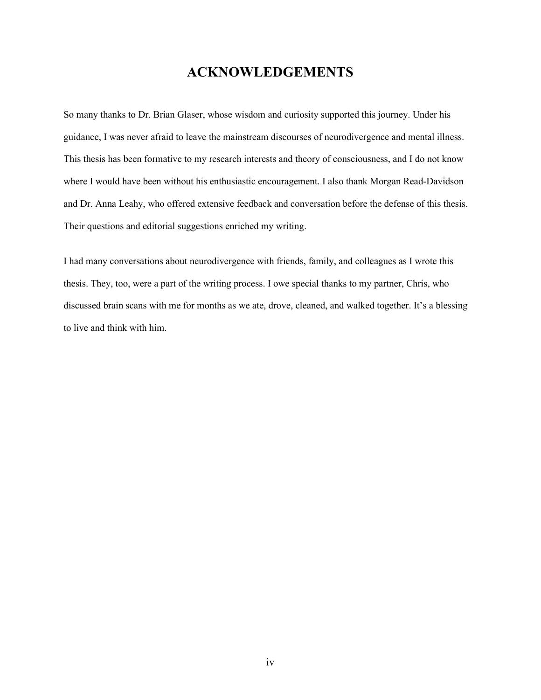## **ACKNOWLEDGEMENTS**

<span id="page-4-0"></span>So many thanks to Dr. Brian Glaser, whose wisdom and curiosity supported this journey. Under his guidance, I was never afraid to leave the mainstream discourses of neurodivergence and mental illness. This thesis has been formative to my research interests and theory of consciousness, and I do not know where I would have been without his enthusiastic encouragement. I also thank Morgan Read-Davidson and Dr. Anna Leahy, who offered extensive feedback and conversation before the defense of this thesis. Their questions and editorial suggestions enriched my writing.

I had many conversations about neurodivergence with friends, family, and colleagues as I wrote this thesis. They, too, were a part of the writing process. I owe special thanks to my partner, Chris, who discussed brain scans with me for months as we ate, drove, cleaned, and walked together. It's a blessing to live and think with him.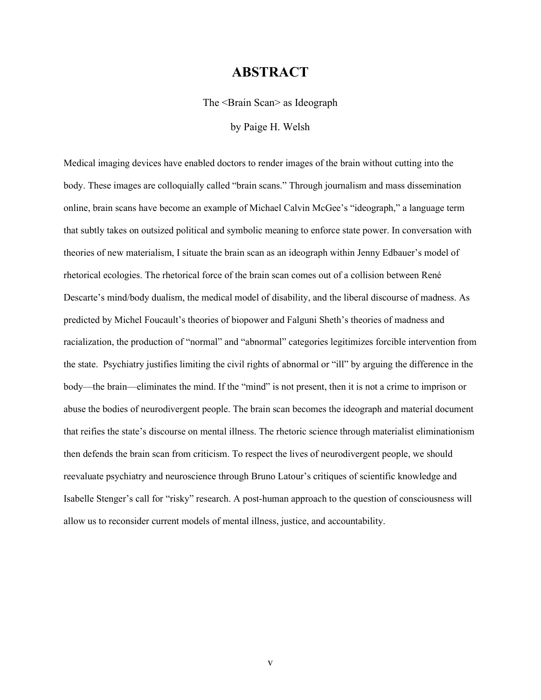### **ABSTRACT**

The <Brain Scan> as Ideograph

by Paige H. Welsh

<span id="page-5-0"></span>Medical imaging devices have enabled doctors to render images of the brain without cutting into the body. These images are colloquially called "brain scans." Through journalism and mass dissemination online, brain scans have become an example of Michael Calvin McGee's "ideograph," a language term that subtly takes on outsized political and symbolic meaning to enforce state power. In conversation with theories of new materialism, I situate the brain scan as an ideograph within Jenny Edbauer's model of rhetorical ecologies. The rhetorical force of the brain scan comes out of a collision between René Descarte's mind/body dualism, the medical model of disability, and the liberal discourse of madness. As predicted by Michel Foucault's theories of biopower and Falguni Sheth's theories of madness and racialization, the production of "normal" and "abnormal" categories legitimizes forcible intervention from the state. Psychiatry justifies limiting the civil rights of abnormal or "ill" by arguing the difference in the body—the brain—eliminates the mind. If the "mind" is not present, then it is not a crime to imprison or abuse the bodies of neurodivergent people. The brain scan becomes the ideograph and material document that reifies the state's discourse on mental illness. The rhetoric science through materialist eliminationism then defends the brain scan from criticism. To respect the lives of neurodivergent people, we should reevaluate psychiatry and neuroscience through Bruno Latour's critiques of scientific knowledge and Isabelle Stenger's call for "risky" research. A post-human approach to the question of consciousness will allow us to reconsider current models of mental illness, justice, and accountability.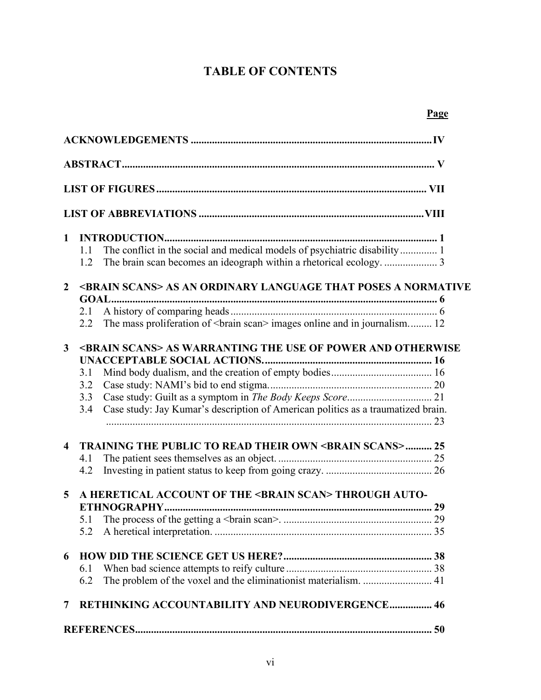## **TABLE OF CONTENTS**

**Page**

| $\mathbf{1}$            |                                                                                                                                                                |  |  |
|-------------------------|----------------------------------------------------------------------------------------------------------------------------------------------------------------|--|--|
|                         | The conflict in the social and medical models of psychiatric disability 1<br>1.1<br>The brain scan becomes an ideograph within a rhetorical ecology.  3<br>1.2 |  |  |
| $\overline{2}$          | <brain scans=""> AS AN ORDINARY LANGUAGE THAT POSES A NORMATIVE</brain>                                                                                        |  |  |
|                         |                                                                                                                                                                |  |  |
|                         | 2.1                                                                                                                                                            |  |  |
|                         | The mass proliferation of<br>brain scan> images online and in journalism 12<br>2.2                                                                             |  |  |
| $3^{\circ}$             | <brain scans=""> AS WARRANTING THE USE OF POWER AND OTHERWISE</brain>                                                                                          |  |  |
|                         | 3.1                                                                                                                                                            |  |  |
|                         | 3.2                                                                                                                                                            |  |  |
|                         | 3.3                                                                                                                                                            |  |  |
|                         | Case study: Jay Kumar's description of American politics as a traumatized brain.<br>3.4                                                                        |  |  |
| $\overline{\mathbf{4}}$ | TRAINING THE PUBLIC TO READ THEIR OWN <brain scans=""> 25</brain>                                                                                              |  |  |
|                         | 4.1                                                                                                                                                            |  |  |
|                         | 4.2                                                                                                                                                            |  |  |
| 5                       | A HERETICAL ACCOUNT OF THE <brain scan=""> THROUGH AUTO-</brain>                                                                                               |  |  |
|                         |                                                                                                                                                                |  |  |
|                         | 5.1                                                                                                                                                            |  |  |
|                         | 5.2                                                                                                                                                            |  |  |
| 6                       |                                                                                                                                                                |  |  |
|                         | 6.1                                                                                                                                                            |  |  |
|                         | The problem of the voxel and the eliminationist materialism.  41<br>6.2                                                                                        |  |  |
| 7                       | RETHINKING ACCOUNTABILITY AND NEURODIVERGENCE 46                                                                                                               |  |  |
|                         |                                                                                                                                                                |  |  |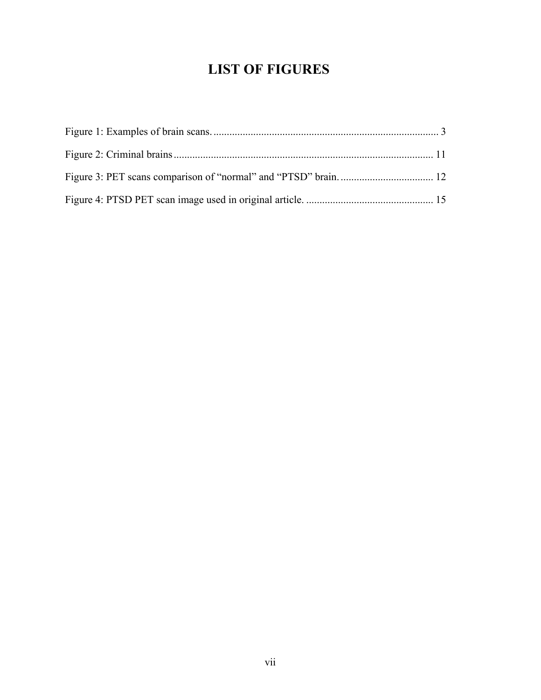## **LIST OF FIGURES**

<span id="page-7-0"></span>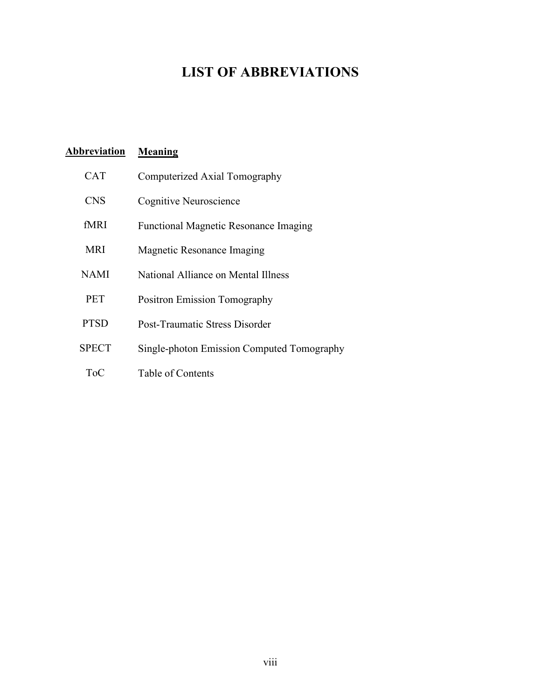# **LIST OF ABBREVIATIONS**

<span id="page-8-0"></span>

| Abbreviation | Meaning                                      |
|--------------|----------------------------------------------|
| <b>CAT</b>   | Computerized Axial Tomography                |
| <b>CNS</b>   | Cognitive Neuroscience                       |
| fMRI         | <b>Functional Magnetic Resonance Imaging</b> |
| <b>MRI</b>   | Magnetic Resonance Imaging                   |
| <b>NAMI</b>  | National Alliance on Mental Illness          |
| <b>PET</b>   | <b>Positron Emission Tomography</b>          |
| <b>PTSD</b>  | Post-Traumatic Stress Disorder               |
| <b>SPECT</b> | Single-photon Emission Computed Tomography   |
| ToC          | Table of Contents                            |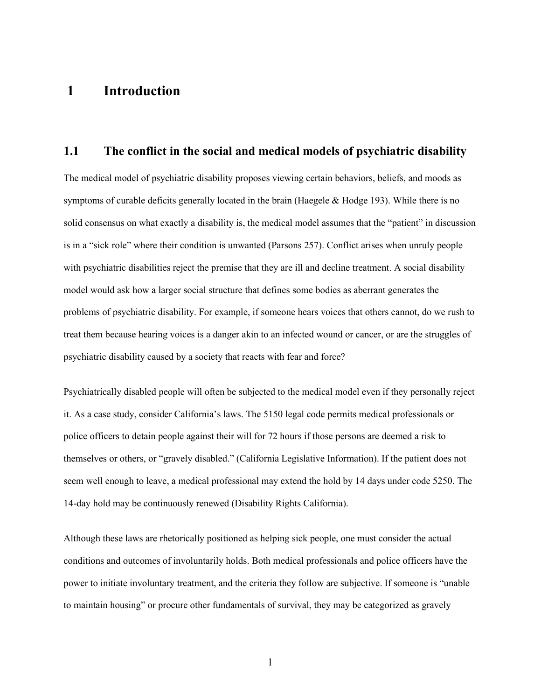### <span id="page-9-0"></span> **1 Introduction**

#### <span id="page-9-1"></span>**1.1 The conflict in the social and medical models of psychiatric disability**

The medical model of psychiatric disability proposes viewing certain behaviors, beliefs, and moods as symptoms of curable deficits generally located in the brain (Haegele & Hodge 193). While there is no solid consensus on what exactly a disability is, the medical model assumes that the "patient" in discussion is in a "sick role" where their condition is unwanted (Parsons 257). Conflict arises when unruly people with psychiatric disabilities reject the premise that they are ill and decline treatment. A social disability model would ask how a larger social structure that defines some bodies as aberrant generates the problems of psychiatric disability. For example, if someone hears voices that others cannot, do we rush to treat them because hearing voices is a danger akin to an infected wound or cancer, or are the struggles of psychiatric disability caused by a society that reacts with fear and force?

Psychiatrically disabled people will often be subjected to the medical model even if they personally reject it. As a case study, consider California's laws. The 5150 legal code permits medical professionals or police officers to detain people against their will for 72 hours if those persons are deemed a risk to themselves or others, or "gravely disabled." (California Legislative Information). If the patient does not seem well enough to leave, a medical professional may extend the hold by 14 days under code 5250. The 14-day hold may be continuously renewed (Disability Rights California).

Although these laws are rhetorically positioned as helping sick people, one must consider the actual conditions and outcomes of involuntarily holds. Both medical professionals and police officers have the power to initiate involuntary treatment, and the criteria they follow are subjective. If someone is "unable to maintain housing" or procure other fundamentals of survival, they may be categorized as gravely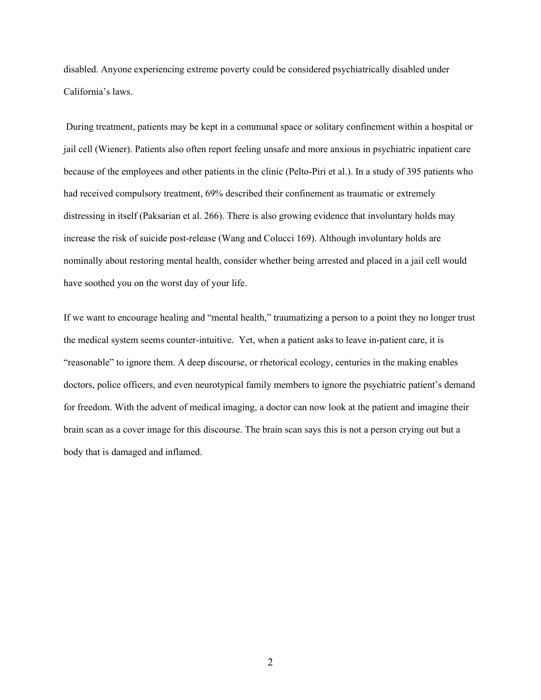disabled. Anyone experiencing extreme poverty could be considered psychiatrically disabled under California's laws.

During treatment, patients may be kept in a communal space or solitary confinement within a hospital or jail cell (Wiener). Patients also often report feeling unsafe and more anxious in psychiatric inpatient care because of the employees and other patients in the clinic (Pelto-Piri et al.). In a study of 395 patients who had received compulsory treatment, 69% described their confinement as traumatic or extremely distressing in itself (Paksarian et al. 266). There is also growing evidence that involuntary holds may increase the risk of suicide post-release (Wang and Colucci 169). Although involuntary holds are nominally about restoring mental health, consider whether being arrested and placed in a jail cell would have soothed you on the worst day of your life.

If we want to encourage healing and "mental health," traumatizing a person to a point they no longer trust the medical system seems counter-intuitive. Yet, when a patient asks to leave in-patient care, it is "reasonable" to ignore them. A deep discourse, or rhetorical ecology, centuries in the making enables doctors, police officers, and even neurotypical family members to ignore the psychiatric patient's demand for freedom. With the advent of medical imaging, a doctor can now look at the patient and imagine their brain scan as a cover image for this discourse. The brain scan says this is not a person crying out but a body that is damaged and inflamed.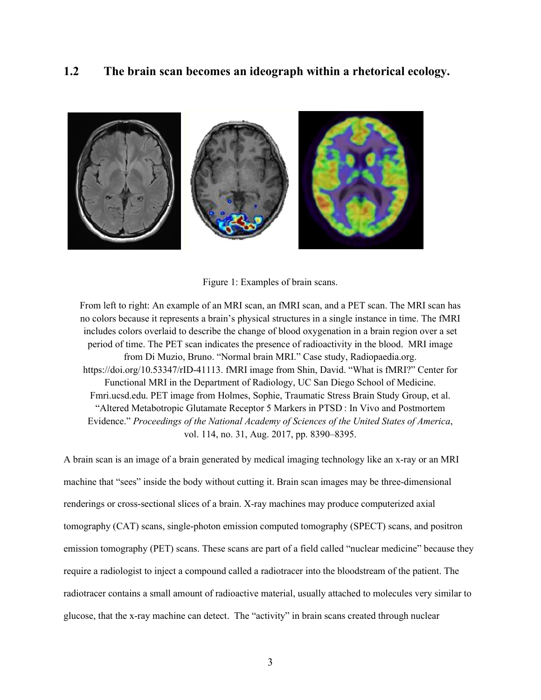#### <span id="page-11-0"></span>**1.2 The brain scan becomes an ideograph within a rhetorical ecology.**



Figure 1: Examples of brain scans.

<span id="page-11-1"></span>From left to right: An example of an MRI scan, an fMRI scan, and a PET scan. The MRI scan has no colors because it represents a brain's physical structures in a single instance in time. The fMRI includes colors overlaid to describe the change of blood oxygenation in a brain region over a set period of time. The PET scan indicates the presence of radioactivity in the blood. MRI image from Di Muzio, Bruno. "Normal brain MRI." Case study, Radiopaedia.org. https://doi.org/10.53347/rID-41113. fMRI image from Shin, David. "What is fMRI?" Center for Functional MRI in the Department of Radiology, UC San Diego School of Medicine. Fmri.ucsd.edu. PET image from Holmes, Sophie, Traumatic Stress Brain Study Group, et al. "Altered Metabotropic Glutamate Receptor 5 Markers in PTSD : In Vivo and Postmortem Evidence." *Proceedings of the National Academy of Sciences of the United States of America*, vol. 114, no. 31, Aug. 2017, pp. 8390–8395.

A brain scan is an image of a brain generated by medical imaging technology like an x-ray or an MRI machine that "sees" inside the body without cutting it. Brain scan images may be three-dimensional renderings or cross-sectional slices of a brain. X-ray machines may produce computerized axial tomography (CAT) scans, single-photon emission computed tomography (SPECT) scans, and positron emission tomography (PET) scans. These scans are part of a field called "nuclear medicine" because they require a radiologist to inject a compound called a radiotracer into the bloodstream of the patient. The radiotracer contains a small amount of radioactive material, usually attached to molecules very similar to glucose, that the x-ray machine can detect. The "activity" in brain scans created through nuclear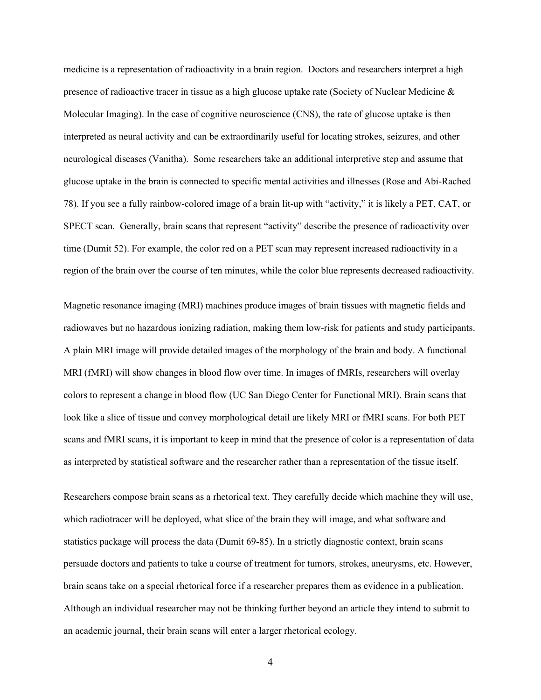medicine is a representation of radioactivity in a brain region. Doctors and researchers interpret a high presence of radioactive tracer in tissue as a high glucose uptake rate (Society of Nuclear Medicine & Molecular Imaging). In the case of cognitive neuroscience (CNS), the rate of glucose uptake is then interpreted as neural activity and can be extraordinarily useful for locating strokes, seizures, and other neurological diseases (Vanitha). Some researchers take an additional interpretive step and assume that glucose uptake in the brain is connected to specific mental activities and illnesses (Rose and Abi-Rached 78). If you see a fully rainbow-colored image of a brain lit-up with "activity," it is likely a PET, CAT, or SPECT scan. Generally, brain scans that represent "activity" describe the presence of radioactivity over time (Dumit 52). For example, the color red on a PET scan may represent increased radioactivity in a region of the brain over the course of ten minutes, while the color blue represents decreased radioactivity.

Magnetic resonance imaging (MRI) machines produce images of brain tissues with magnetic fields and radiowaves but no hazardous ionizing radiation, making them low-risk for patients and study participants. A plain MRI image will provide detailed images of the morphology of the brain and body. A functional MRI (fMRI) will show changes in blood flow over time. In images of fMRIs, researchers will overlay colors to represent a change in blood flow (UC San Diego Center for Functional MRI). Brain scans that look like a slice of tissue and convey morphological detail are likely MRI or fMRI scans. For both PET scans and fMRI scans, it is important to keep in mind that the presence of color is a representation of data as interpreted by statistical software and the researcher rather than a representation of the tissue itself.

Researchers compose brain scans as a rhetorical text. They carefully decide which machine they will use, which radiotracer will be deployed, what slice of the brain they will image, and what software and statistics package will process the data (Dumit 69-85). In a strictly diagnostic context, brain scans persuade doctors and patients to take a course of treatment for tumors, strokes, aneurysms, etc. However, brain scans take on a special rhetorical force if a researcher prepares them as evidence in a publication. Although an individual researcher may not be thinking further beyond an article they intend to submit to an academic journal, their brain scans will enter a larger rhetorical ecology.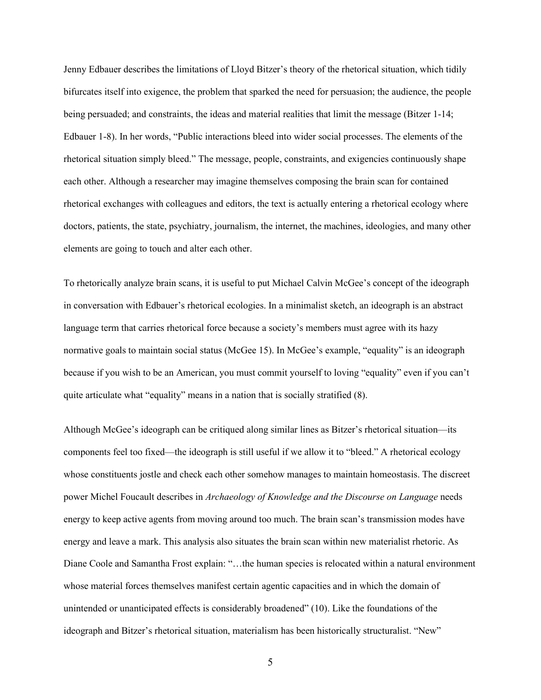Jenny Edbauer describes the limitations of Lloyd Bitzer's theory of the rhetorical situation, which tidily bifurcates itself into exigence, the problem that sparked the need for persuasion; the audience, the people being persuaded; and constraints, the ideas and material realities that limit the message (Bitzer 1-14; Edbauer 1-8). In her words, "Public interactions bleed into wider social processes. The elements of the rhetorical situation simply bleed." The message, people, constraints, and exigencies continuously shape each other. Although a researcher may imagine themselves composing the brain scan for contained rhetorical exchanges with colleagues and editors, the text is actually entering a rhetorical ecology where doctors, patients, the state, psychiatry, journalism, the internet, the machines, ideologies, and many other elements are going to touch and alter each other.

To rhetorically analyze brain scans, it is useful to put Michael Calvin McGee's concept of the ideograph in conversation with Edbauer's rhetorical ecologies. In a minimalist sketch, an ideograph is an abstract language term that carries rhetorical force because a society's members must agree with its hazy normative goals to maintain social status (McGee 15). In McGee's example, "equality" is an ideograph because if you wish to be an American, you must commit yourself to loving "equality" even if you can't quite articulate what "equality" means in a nation that is socially stratified (8).

Although McGee's ideograph can be critiqued along similar lines as Bitzer's rhetorical situation—its components feel too fixed—the ideograph is still useful if we allow it to "bleed." A rhetorical ecology whose constituents jostle and check each other somehow manages to maintain homeostasis. The discreet power Michel Foucault describes in *Archaeology of Knowledge and the Discourse on Language* needs energy to keep active agents from moving around too much. The brain scan's transmission modes have energy and leave a mark. This analysis also situates the brain scan within new materialist rhetoric. As Diane Coole and Samantha Frost explain: "…the human species is relocated within a natural environment whose material forces themselves manifest certain agentic capacities and in which the domain of unintended or unanticipated effects is considerably broadened" (10). Like the foundations of the ideograph and Bitzer's rhetorical situation, materialism has been historically structuralist. "New"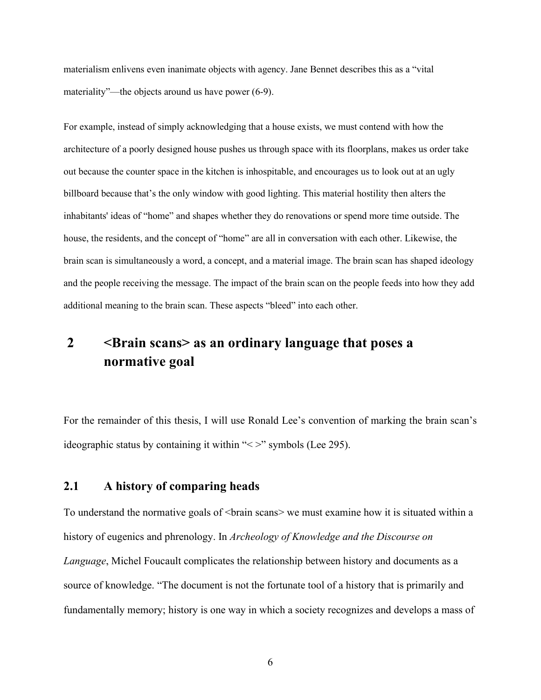materialism enlivens even inanimate objects with agency. Jane Bennet describes this as a "vital materiality"—the objects around us have power (6-9).

For example, instead of simply acknowledging that a house exists, we must contend with how the architecture of a poorly designed house pushes us through space with its floorplans, makes us order take out because the counter space in the kitchen is inhospitable, and encourages us to look out at an ugly billboard because that's the only window with good lighting. This material hostility then alters the inhabitants' ideas of "home" and shapes whether they do renovations or spend more time outside. The house, the residents, and the concept of "home" are all in conversation with each other. Likewise, the brain scan is simultaneously a word, a concept, and a material image. The brain scan has shaped ideology and the people receiving the message. The impact of the brain scan on the people feeds into how they add additional meaning to the brain scan. These aspects "bleed" into each other.

## <span id="page-14-0"></span> **2 <Brain scans> as an ordinary language that poses a normative goal**

For the remainder of this thesis, I will use Ronald Lee's convention of marking the brain scan's ideographic status by containing it within "<>" symbols (Lee 295).

#### <span id="page-14-1"></span>**2.1 A history of comparing heads**

To understand the normative goals of <br ain scans> we must examine how it is situated within a history of eugenics and phrenology. In *Archeology of Knowledge and the Discourse on Language*, Michel Foucault complicates the relationship between history and documents as a source of knowledge. "The document is not the fortunate tool of a history that is primarily and fundamentally memory; history is one way in which a society recognizes and develops a mass of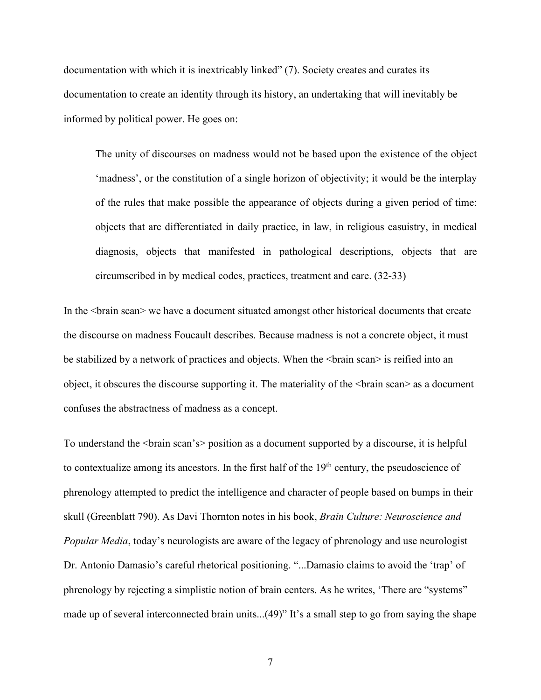documentation with which it is inextricably linked" (7). Society creates and curates its documentation to create an identity through its history, an undertaking that will inevitably be informed by political power. He goes on:

The unity of discourses on madness would not be based upon the existence of the object 'madness', or the constitution of a single horizon of objectivity; it would be the interplay of the rules that make possible the appearance of objects during a given period of time: objects that are differentiated in daily practice, in law, in religious casuistry, in medical diagnosis, objects that manifested in pathological descriptions, objects that are circumscribed in by medical codes, practices, treatment and care. (32-33)

In the <br at scan> we have a document situated amongst other historical documents that create the discourse on madness Foucault describes. Because madness is not a concrete object, it must be stabilized by a network of practices and objects. When the <br/>brain scan> is reified into an object, it obscures the discourse supporting it. The materiality of the <br/>brain scan> as a document confuses the abstractness of madness as a concept.

To understand the  $\langle \text{brain scan's} \rangle$  position as a document supported by a discourse, it is helpful to contextualize among its ancestors. In the first half of the  $19<sup>th</sup>$  century, the pseudoscience of phrenology attempted to predict the intelligence and character of people based on bumps in their skull (Greenblatt 790). As Davi Thornton notes in his book, *Brain Culture: Neuroscience and Popular Media*, today's neurologists are aware of the legacy of phrenology and use neurologist Dr. Antonio Damasio's careful rhetorical positioning. "...Damasio claims to avoid the 'trap' of phrenology by rejecting a simplistic notion of brain centers. As he writes, 'There are "systems" made up of several interconnected brain units...(49)" It's a small step to go from saying the shape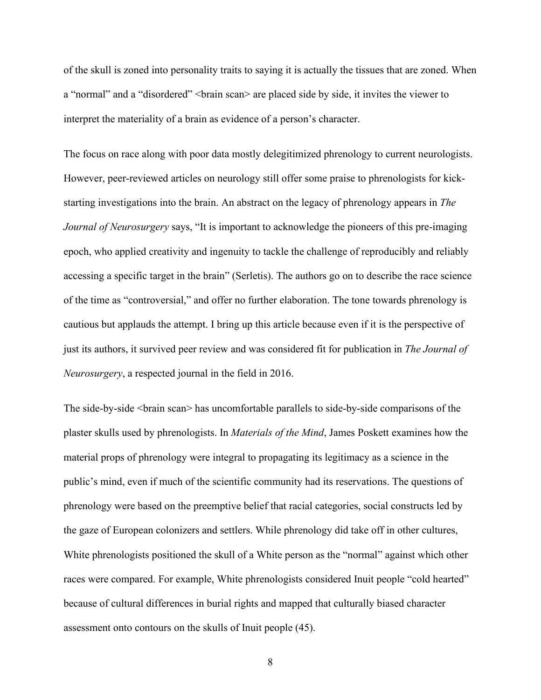of the skull is zoned into personality traits to saying it is actually the tissues that are zoned. When a "normal" and a "disordered" <br/>brain scan> are placed side by side, it invites the viewer to interpret the materiality of a brain as evidence of a person's character.

The focus on race along with poor data mostly delegitimized phrenology to current neurologists. However, peer-reviewed articles on neurology still offer some praise to phrenologists for kickstarting investigations into the brain. An abstract on the legacy of phrenology appears in *The Journal of Neurosurgery* says, "It is important to acknowledge the pioneers of this pre-imaging epoch, who applied creativity and ingenuity to tackle the challenge of reproducibly and reliably accessing a specific target in the brain" (Serletis). The authors go on to describe the race science of the time as "controversial," and offer no further elaboration. The tone towards phrenology is cautious but applauds the attempt. I bring up this article because even if it is the perspective of just its authors, it survived peer review and was considered fit for publication in *The Journal of Neurosurgery*, a respected journal in the field in 2016.

The side-by-side <br/>stain scan> has uncomfortable parallels to side-by-side comparisons of the plaster skulls used by phrenologists. In *Materials of the Mind*, James Poskett examines how the material props of phrenology were integral to propagating its legitimacy as a science in the public's mind, even if much of the scientific community had its reservations. The questions of phrenology were based on the preemptive belief that racial categories, social constructs led by the gaze of European colonizers and settlers. While phrenology did take off in other cultures, White phrenologists positioned the skull of a White person as the "normal" against which other races were compared. For example, White phrenologists considered Inuit people "cold hearted" because of cultural differences in burial rights and mapped that culturally biased character assessment onto contours on the skulls of Inuit people (45).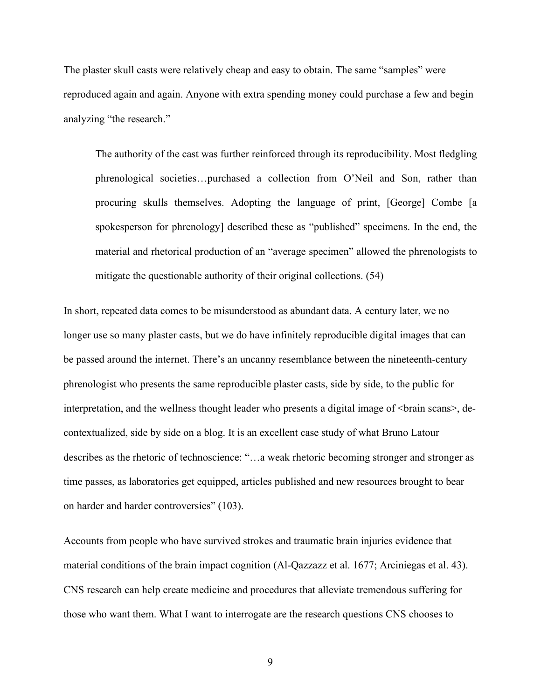The plaster skull casts were relatively cheap and easy to obtain. The same "samples" were reproduced again and again. Anyone with extra spending money could purchase a few and begin analyzing "the research."

The authority of the cast was further reinforced through its reproducibility. Most fledgling phrenological societies…purchased a collection from O'Neil and Son, rather than procuring skulls themselves. Adopting the language of print, [George] Combe [a spokesperson for phrenology] described these as "published" specimens. In the end, the material and rhetorical production of an "average specimen" allowed the phrenologists to mitigate the questionable authority of their original collections. (54)

In short, repeated data comes to be misunderstood as abundant data. A century later, we no longer use so many plaster casts, but we do have infinitely reproducible digital images that can be passed around the internet. There's an uncanny resemblance between the nineteenth-century phrenologist who presents the same reproducible plaster casts, side by side, to the public for interpretation, and the wellness thought leader who presents a digital image of <br/>brain scans>, decontextualized, side by side on a blog. It is an excellent case study of what Bruno Latour describes as the rhetoric of technoscience: "…a weak rhetoric becoming stronger and stronger as time passes, as laboratories get equipped, articles published and new resources brought to bear on harder and harder controversies" (103).

Accounts from people who have survived strokes and traumatic brain injuries evidence that material conditions of the brain impact cognition (Al-Qazzazz et al. 1677; Arciniegas et al. 43). CNS research can help create medicine and procedures that alleviate tremendous suffering for those who want them. What I want to interrogate are the research questions CNS chooses to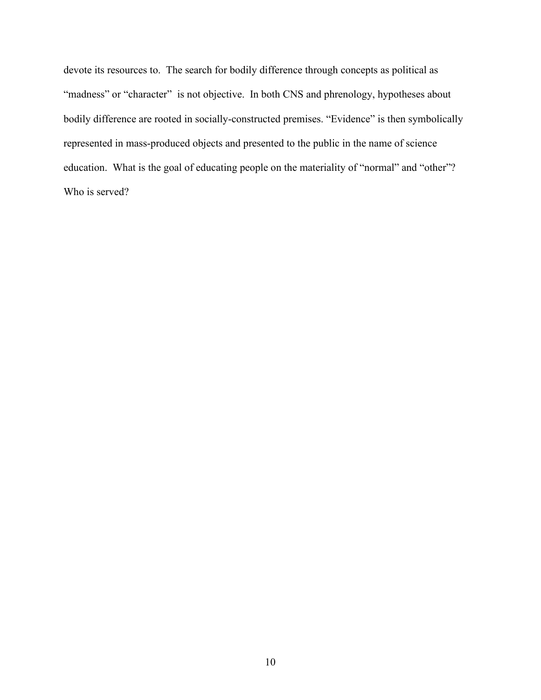devote its resources to. The search for bodily difference through concepts as political as "madness" or "character" is not objective. In both CNS and phrenology, hypotheses about bodily difference are rooted in socially-constructed premises. "Evidence" is then symbolically represented in mass-produced objects and presented to the public in the name of science education. What is the goal of educating people on the materiality of "normal" and "other"? Who is served?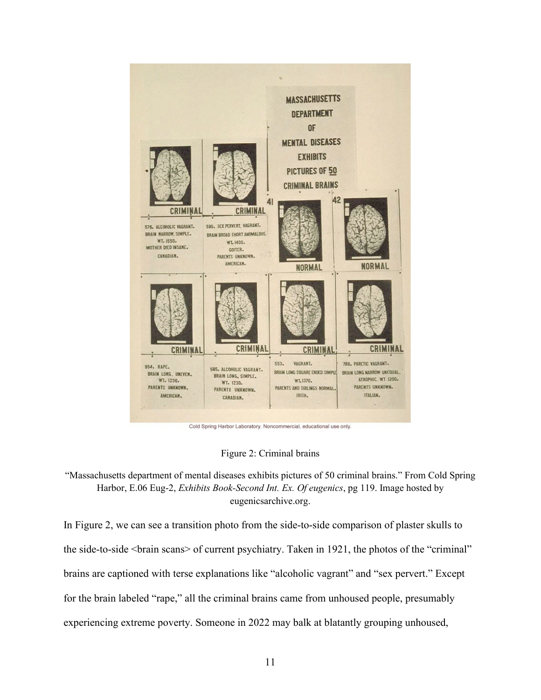

Figure 2: Criminal brains

<span id="page-19-0"></span>"Massachusetts department of mental diseases exhibits pictures of 50 criminal brains." From Cold Spring Harbor, E.06 Eug-2, *Exhibits Book-Second Int. Ex. Of eugenics*, pg 119. Image hosted by eugenicsarchive.org.

In Figure 2, we can see a transition photo from the side-to-side comparison of plaster skulls to the side-to-side <br/>>brain scans> of current psychiatry. Taken in 1921, the photos of the "criminal" brains are captioned with terse explanations like "alcoholic vagrant" and "sex pervert." Except for the brain labeled "rape," all the criminal brains came from unhoused people, presumably experiencing extreme poverty. Someone in 2022 may balk at blatantly grouping unhoused,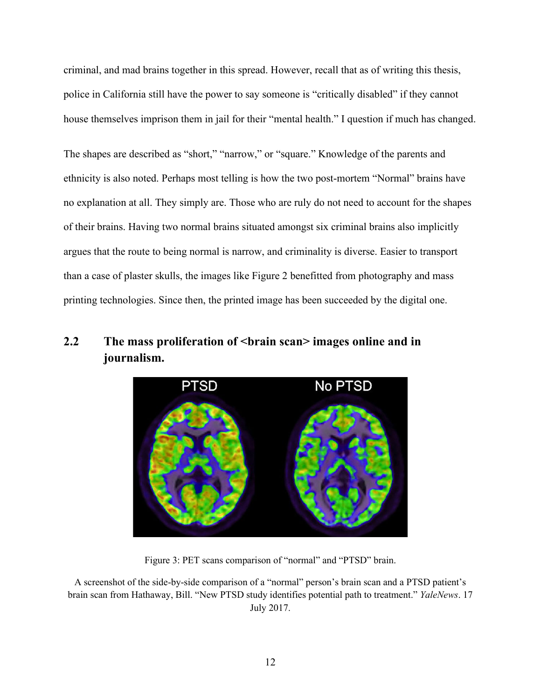criminal, and mad brains together in this spread. However, recall that as of writing this thesis, police in California still have the power to say someone is "critically disabled" if they cannot house themselves imprison them in jail for their "mental health." I question if much has changed.

The shapes are described as "short," "narrow," or "square." Knowledge of the parents and ethnicity is also noted. Perhaps most telling is how the two post-mortem "Normal" brains have no explanation at all. They simply are. Those who are ruly do not need to account for the shapes of their brains. Having two normal brains situated amongst six criminal brains also implicitly argues that the route to being normal is narrow, and criminality is diverse. Easier to transport than a case of plaster skulls, the images like Figure 2 benefitted from photography and mass printing technologies. Since then, the printed image has been succeeded by the digital one.

## <span id="page-20-0"></span>2.2 The mass proliferation of  $\langle \cdot \rangle$  brain scan  $\langle \cdot \rangle$  images online and in **journalism.**



Figure 3: PET scans comparison of "normal" and "PTSD" brain.

A screenshot of the side-by-side comparison of a "normal" person's brain scan and a PTSD patient's brain scan from Hathaway, Bill. "New PTSD study identifies potential path to treatment." *YaleNews*. 17 July 2017.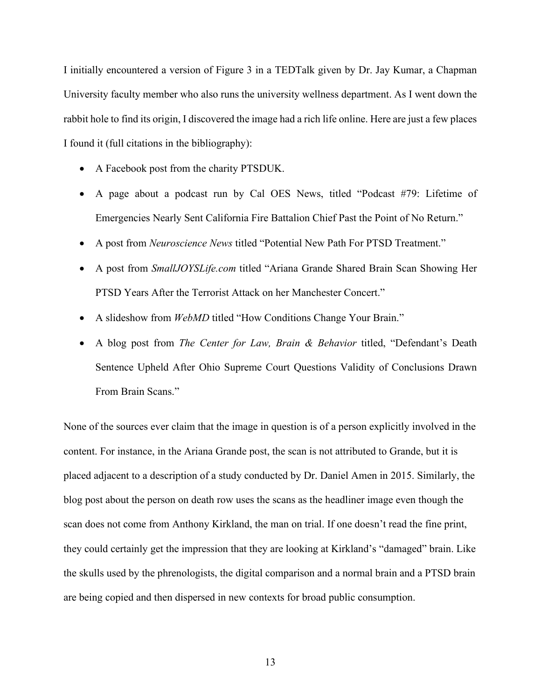I initially encountered a version of Figure 3 in a TEDTalk given by Dr. Jay Kumar, a Chapman University faculty member who also runs the university wellness department. As I went down the rabbit hole to find its origin, I discovered the image had a rich life online. Here are just a few places I found it (full citations in the bibliography):

- A Facebook post from the charity PTSDUK.
- A page about a podcast run by Cal OES News, titled "Podcast #79: Lifetime of Emergencies Nearly Sent California Fire Battalion Chief Past the Point of No Return."
- A post from *Neuroscience News* titled "Potential New Path For PTSD Treatment."
- A post from *SmallJOYSLife.com* titled "Ariana Grande Shared Brain Scan Showing Her PTSD Years After the Terrorist Attack on her Manchester Concert."
- A slideshow from *WebMD* titled "How Conditions Change Your Brain."
- A blog post from *The Center for Law, Brain & Behavior* titled, "Defendant's Death Sentence Upheld After Ohio Supreme Court Questions Validity of Conclusions Drawn From Brain Scans."

None of the sources ever claim that the image in question is of a person explicitly involved in the content. For instance, in the Ariana Grande post, the scan is not attributed to Grande, but it is placed adjacent to a description of a study conducted by Dr. Daniel Amen in 2015. Similarly, the blog post about the person on death row uses the scans as the headliner image even though the scan does not come from Anthony Kirkland, the man on trial. If one doesn't read the fine print, they could certainly get the impression that they are looking at Kirkland's "damaged" brain. Like the skulls used by the phrenologists, the digital comparison and a normal brain and a PTSD brain are being copied and then dispersed in new contexts for broad public consumption.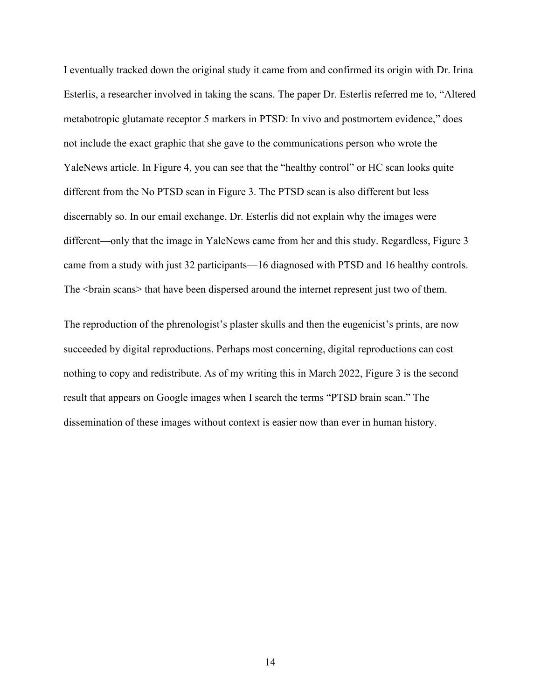I eventually tracked down the original study it came from and confirmed its origin with Dr. Irina Esterlis, a researcher involved in taking the scans. The paper Dr. Esterlis referred me to, "Altered metabotropic glutamate receptor 5 markers in PTSD: In vivo and postmortem evidence," does not include the exact graphic that she gave to the communications person who wrote the YaleNews article. In Figure 4, you can see that the "healthy control" or HC scan looks quite different from the No PTSD scan in Figure 3. The PTSD scan is also different but less discernably so. In our email exchange, Dr. Esterlis did not explain why the images were different—only that the image in YaleNews came from her and this study. Regardless, Figure 3 came from a study with just 32 participants—16 diagnosed with PTSD and 16 healthy controls. The <brain scans> that have been dispersed around the internet represent just two of them.

The reproduction of the phrenologist's plaster skulls and then the eugenicist's prints, are now succeeded by digital reproductions. Perhaps most concerning, digital reproductions can cost nothing to copy and redistribute. As of my writing this in March 2022, Figure 3 is the second result that appears on Google images when I search the terms "PTSD brain scan." The dissemination of these images without context is easier now than ever in human history.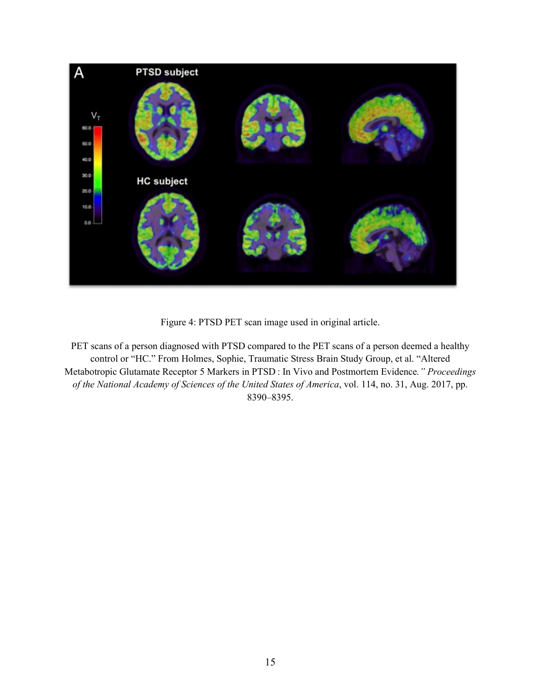

Figure 4: PTSD PET scan image used in original article.

PET scans of a person diagnosed with PTSD compared to the PET scans of a person deemed a healthy control or "HC." From Holmes, Sophie, Traumatic Stress Brain Study Group, et al. "Altered Metabotropic Glutamate Receptor 5 Markers in PTSD : In Vivo and Postmortem Evidence*." Proceedings of the National Academy of Sciences of the United States of America*, vol. 114, no. 31, Aug. 2017, pp. 8390–8395.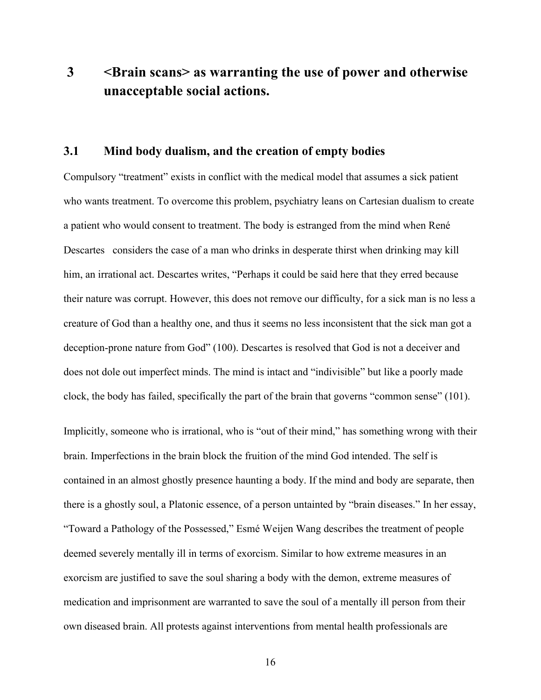## <span id="page-24-0"></span> **3 <Brain scans> as warranting the use of power and otherwise unacceptable social actions.**

#### <span id="page-24-1"></span>**3.1 Mind body dualism, and the creation of empty bodies**

Compulsory "treatment" exists in conflict with the medical model that assumes a sick patient who wants treatment. To overcome this problem, psychiatry leans on Cartesian dualism to create a patient who would consent to treatment. The body is estranged from the mind when René Descartes considers the case of a man who drinks in desperate thirst when drinking may kill him, an irrational act. Descartes writes, "Perhaps it could be said here that they erred because their nature was corrupt. However, this does not remove our difficulty, for a sick man is no less a creature of God than a healthy one, and thus it seems no less inconsistent that the sick man got a deception-prone nature from God" (100). Descartes is resolved that God is not a deceiver and does not dole out imperfect minds. The mind is intact and "indivisible" but like a poorly made clock, the body has failed, specifically the part of the brain that governs "common sense" (101).

Implicitly, someone who is irrational, who is "out of their mind," has something wrong with their brain. Imperfections in the brain block the fruition of the mind God intended. The self is contained in an almost ghostly presence haunting a body. If the mind and body are separate, then there is a ghostly soul, a Platonic essence, of a person untainted by "brain diseases." In her essay, "Toward a Pathology of the Possessed," Esmé Weijen Wang describes the treatment of people deemed severely mentally ill in terms of exorcism. Similar to how extreme measures in an exorcism are justified to save the soul sharing a body with the demon, extreme measures of medication and imprisonment are warranted to save the soul of a mentally ill person from their own diseased brain. All protests against interventions from mental health professionals are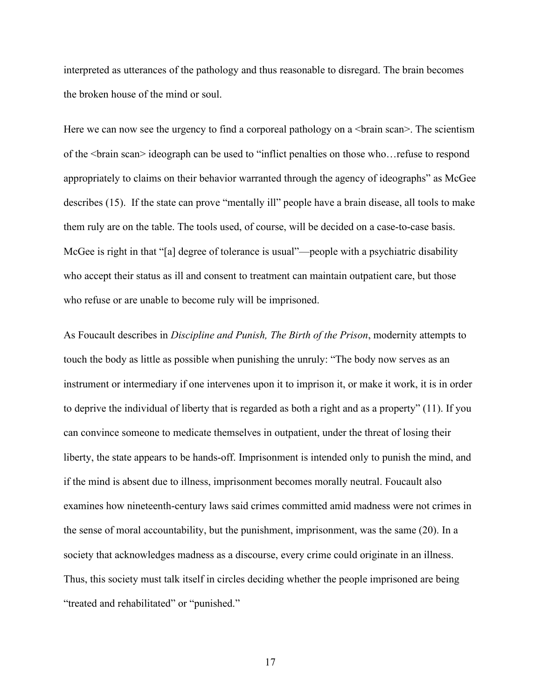interpreted as utterances of the pathology and thus reasonable to disregard. The brain becomes the broken house of the mind or soul.

Here we can now see the urgency to find a corporeal pathology on a  $\leq$ brain scan $\geq$ . The scientism of the <br/>brain scan> ideograph can be used to "inflict penalties on those who…refuse to respond appropriately to claims on their behavior warranted through the agency of ideographs" as McGee describes (15). If the state can prove "mentally ill" people have a brain disease, all tools to make them ruly are on the table. The tools used, of course, will be decided on a case-to-case basis. McGee is right in that "[a] degree of tolerance is usual"—people with a psychiatric disability who accept their status as ill and consent to treatment can maintain outpatient care, but those who refuse or are unable to become ruly will be imprisoned.

As Foucault describes in *Discipline and Punish, The Birth of the Prison*, modernity attempts to touch the body as little as possible when punishing the unruly: "The body now serves as an instrument or intermediary if one intervenes upon it to imprison it, or make it work, it is in order to deprive the individual of liberty that is regarded as both a right and as a property" (11). If you can convince someone to medicate themselves in outpatient, under the threat of losing their liberty, the state appears to be hands-off. Imprisonment is intended only to punish the mind, and if the mind is absent due to illness, imprisonment becomes morally neutral. Foucault also examines how nineteenth-century laws said crimes committed amid madness were not crimes in the sense of moral accountability, but the punishment, imprisonment, was the same (20). In a society that acknowledges madness as a discourse, every crime could originate in an illness. Thus, this society must talk itself in circles deciding whether the people imprisoned are being "treated and rehabilitated" or "punished."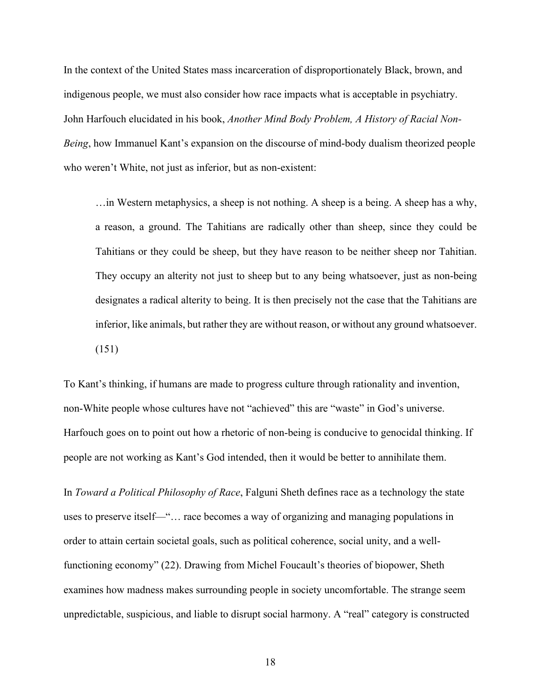In the context of the United States mass incarceration of disproportionately Black, brown, and indigenous people, we must also consider how race impacts what is acceptable in psychiatry. John Harfouch elucidated in his book, *Another Mind Body Problem, A History of Racial Non-Being*, how Immanuel Kant's expansion on the discourse of mind-body dualism theorized people who weren't White, not just as inferior, but as non-existent:

…in Western metaphysics, a sheep is not nothing. A sheep is a being. A sheep has a why, a reason, a ground. The Tahitians are radically other than sheep, since they could be Tahitians or they could be sheep, but they have reason to be neither sheep nor Tahitian. They occupy an alterity not just to sheep but to any being whatsoever, just as non-being designates a radical alterity to being. It is then precisely not the case that the Tahitians are inferior, like animals, but rather they are without reason, or without any ground whatsoever. (151)

To Kant's thinking, if humans are made to progress culture through rationality and invention, non-White people whose cultures have not "achieved" this are "waste" in God's universe. Harfouch goes on to point out how a rhetoric of non-being is conducive to genocidal thinking. If people are not working as Kant's God intended, then it would be better to annihilate them.

In *Toward a Political Philosophy of Race*, Falguni Sheth defines race as a technology the state uses to preserve itself—"… race becomes a way of organizing and managing populations in order to attain certain societal goals, such as political coherence, social unity, and a wellfunctioning economy" (22). Drawing from Michel Foucault's theories of biopower, Sheth examines how madness makes surrounding people in society uncomfortable. The strange seem unpredictable, suspicious, and liable to disrupt social harmony. A "real" category is constructed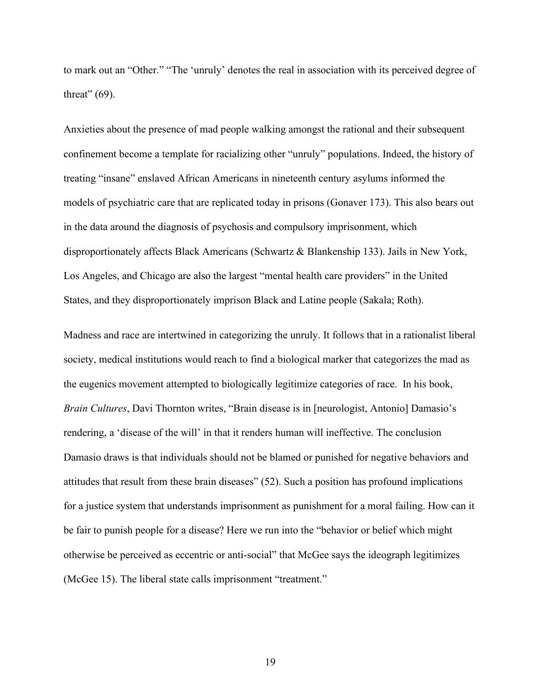to mark out an "Other." "The 'unruly' denotes the real in association with its perceived degree of threat"  $(69)$ .

Anxieties about the presence of mad people walking amongst the rational and their subsequent confinement become a template for racializing other "unruly" populations. Indeed, the history of treating "insane" enslaved African Americans in nineteenth century asylums informed the models of psychiatric care that are replicated today in prisons (Gonaver 173). This also bears out in the data around the diagnosis of psychosis and compulsory imprisonment, which disproportionately affects Black Americans (Schwartz & Blankenship 133). Jails in New York, Los Angeles, and Chicago are also the largest "mental health care providers" in the United States, and they disproportionately imprison Black and Latine people (Sakala; Roth).

Madness and race are intertwined in categorizing the unruly. It follows that in a rationalist liberal society, medical institutions would reach to find a biological marker that categorizes the mad as the eugenics movement attempted to biologically legitimize categories of race. In his book, *Brain Cultures*, Davi Thornton writes, "Brain disease is in [neurologist, Antonio] Damasio's rendering, a 'disease of the will' in that it renders human will ineffective. The conclusion Damasio draws is that individuals should not be blamed or punished for negative behaviors and attitudes that result from these brain diseases" (52). Such a position has profound implications for a justice system that understands imprisonment as punishment for a moral failing. How can it be fair to punish people for a disease? Here we run into the "behavior or belief which might otherwise be perceived as eccentric or anti-social" that McGee says the ideograph legitimizes (McGee 15). The liberal state calls imprisonment "treatment."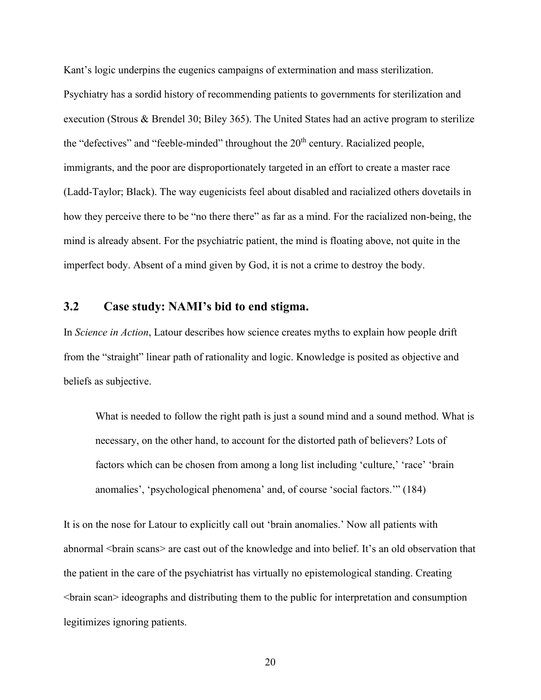Kant's logic underpins the eugenics campaigns of extermination and mass sterilization. Psychiatry has a sordid history of recommending patients to governments for sterilization and execution (Strous & Brendel 30; Biley 365). The United States had an active program to sterilize the "defectives" and "feeble-minded" throughout the  $20<sup>th</sup>$  century. Racialized people, immigrants, and the poor are disproportionately targeted in an effort to create a master race (Ladd-Taylor; Black). The way eugenicists feel about disabled and racialized others dovetails in how they perceive there to be "no there there" as far as a mind. For the racialized non-being, the mind is already absent. For the psychiatric patient, the mind is floating above, not quite in the imperfect body. Absent of a mind given by God, it is not a crime to destroy the body.

#### <span id="page-28-0"></span>**3.2 Case study: NAMI's bid to end stigma.**

In *Science in Action*, Latour describes how science creates myths to explain how people drift from the "straight" linear path of rationality and logic. Knowledge is posited as objective and beliefs as subjective.

What is needed to follow the right path is just a sound mind and a sound method. What is necessary, on the other hand, to account for the distorted path of believers? Lots of factors which can be chosen from among a long list including 'culture,' 'race' 'brain anomalies', 'psychological phenomena' and, of course 'social factors.'" (184)

It is on the nose for Latour to explicitly call out 'brain anomalies.' Now all patients with abnormal <br />brain scans> are cast out of the knowledge and into belief. It's an old observation that the patient in the care of the psychiatrist has virtually no epistemological standing. Creating <brain scan> ideographs and distributing them to the public for interpretation and consumption legitimizes ignoring patients.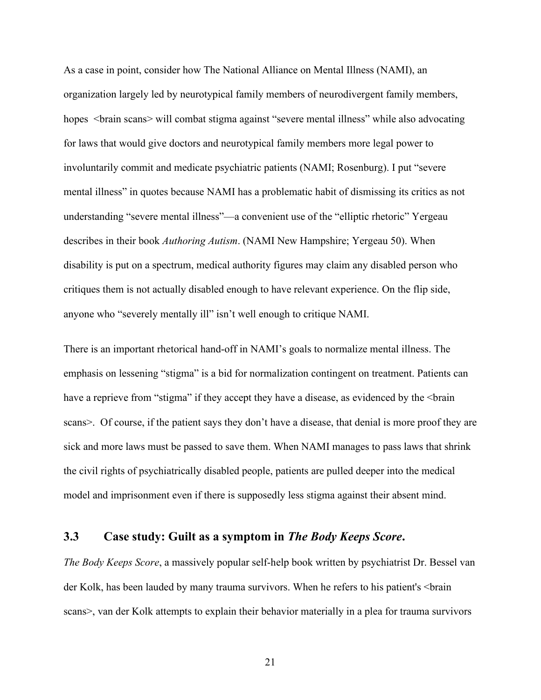As a case in point, consider how The National Alliance on Mental Illness (NAMI), an organization largely led by neurotypical family members of neurodivergent family members, hopes <brain scans> will combat stigma against "severe mental illness" while also advocating for laws that would give doctors and neurotypical family members more legal power to involuntarily commit and medicate psychiatric patients (NAMI; Rosenburg). I put "severe mental illness" in quotes because NAMI has a problematic habit of dismissing its critics as not understanding "severe mental illness"—a convenient use of the "elliptic rhetoric" Yergeau describes in their book *Authoring Autism*. (NAMI New Hampshire; Yergeau 50). When disability is put on a spectrum, medical authority figures may claim any disabled person who critiques them is not actually disabled enough to have relevant experience. On the flip side, anyone who "severely mentally ill" isn't well enough to critique NAMI.

There is an important rhetorical hand-off in NAMI's goals to normalize mental illness. The emphasis on lessening "stigma" is a bid for normalization contingent on treatment. Patients can have a reprieve from "stigma" if they accept they have a disease, as evidenced by the  $\leq$ brain scans>. Of course, if the patient says they don't have a disease, that denial is more proof they are sick and more laws must be passed to save them. When NAMI manages to pass laws that shrink the civil rights of psychiatrically disabled people, patients are pulled deeper into the medical model and imprisonment even if there is supposedly less stigma against their absent mind.

#### <span id="page-29-0"></span>**3.3 Case study: Guilt as a symptom in** *The Body Keeps Score***.**

*The Body Keeps Score*, a massively popular self-help book written by psychiatrist Dr. Bessel van der Kolk, has been lauded by many trauma survivors. When he refers to his patient's <br/>brain scans>, van der Kolk attempts to explain their behavior materially in a plea for trauma survivors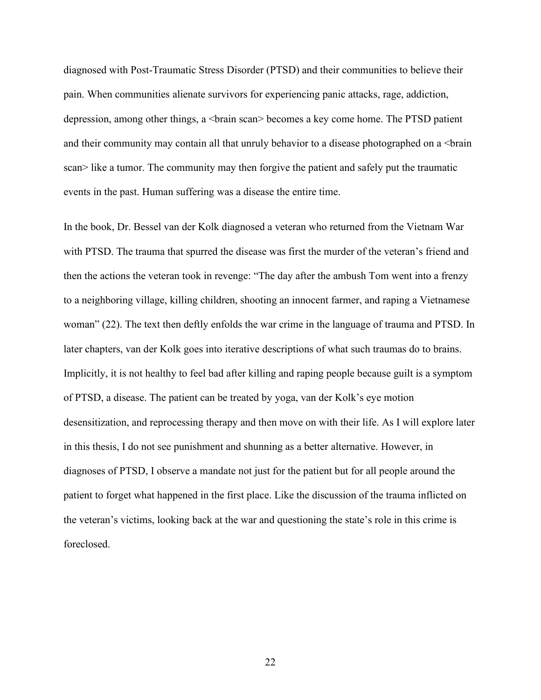diagnosed with Post-Traumatic Stress Disorder (PTSD) and their communities to believe their pain. When communities alienate survivors for experiencing panic attacks, rage, addiction, depression, among other things, a <br/>brain scan> becomes a key come home. The PTSD patient and their community may contain all that unruly behavior to a disease photographed on a  $\triangle$ brain scan> like a tumor. The community may then forgive the patient and safely put the traumatic events in the past. Human suffering was a disease the entire time.

In the book, Dr. Bessel van der Kolk diagnosed a veteran who returned from the Vietnam War with PTSD. The trauma that spurred the disease was first the murder of the veteran's friend and then the actions the veteran took in revenge: "The day after the ambush Tom went into a frenzy to a neighboring village, killing children, shooting an innocent farmer, and raping a Vietnamese woman" (22). The text then deftly enfolds the war crime in the language of trauma and PTSD. In later chapters, van der Kolk goes into iterative descriptions of what such traumas do to brains. Implicitly, it is not healthy to feel bad after killing and raping people because guilt is a symptom of PTSD, a disease. The patient can be treated by yoga, van der Kolk's eye motion desensitization, and reprocessing therapy and then move on with their life. As I will explore later in this thesis, I do not see punishment and shunning as a better alternative. However, in diagnoses of PTSD, I observe a mandate not just for the patient but for all people around the patient to forget what happened in the first place. Like the discussion of the trauma inflicted on the veteran's victims, looking back at the war and questioning the state's role in this crime is foreclosed.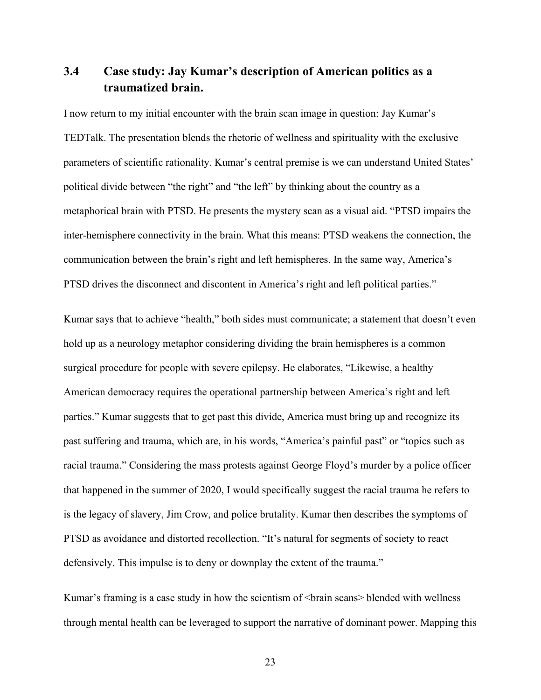## <span id="page-31-0"></span>**3.4 Case study: Jay Kumar's description of American politics as a traumatized brain.**

I now return to my initial encounter with the brain scan image in question: Jay Kumar's TEDTalk. The presentation blends the rhetoric of wellness and spirituality with the exclusive parameters of scientific rationality. Kumar's central premise is we can understand United States' political divide between "the right" and "the left" by thinking about the country as a metaphorical brain with PTSD. He presents the mystery scan as a visual aid. "PTSD impairs the inter-hemisphere connectivity in the brain. What this means: PTSD weakens the connection, the communication between the brain's right and left hemispheres. In the same way, America's PTSD drives the disconnect and discontent in America's right and left political parties."

Kumar says that to achieve "health," both sides must communicate; a statement that doesn't even hold up as a neurology metaphor considering dividing the brain hemispheres is a common surgical procedure for people with severe epilepsy. He elaborates, "Likewise, a healthy American democracy requires the operational partnership between America's right and left parties." Kumar suggests that to get past this divide, America must bring up and recognize its past suffering and trauma, which are, in his words, "America's painful past" or "topics such as racial trauma." Considering the mass protests against George Floyd's murder by a police officer that happened in the summer of 2020, I would specifically suggest the racial trauma he refers to is the legacy of slavery, Jim Crow, and police brutality. Kumar then describes the symptoms of PTSD as avoidance and distorted recollection. "It's natural for segments of society to react defensively. This impulse is to deny or downplay the extent of the trauma."

Kumar's framing is a case study in how the scientism of  $\langle \text{brain scans}\rangle$  blended with wellness through mental health can be leveraged to support the narrative of dominant power. Mapping this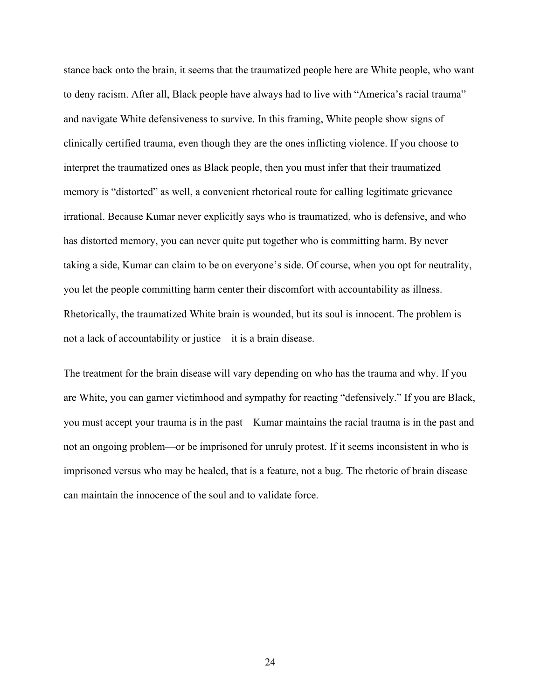stance back onto the brain, it seems that the traumatized people here are White people, who want to deny racism. After all, Black people have always had to live with "America's racial trauma" and navigate White defensiveness to survive. In this framing, White people show signs of clinically certified trauma, even though they are the ones inflicting violence. If you choose to interpret the traumatized ones as Black people, then you must infer that their traumatized memory is "distorted" as well, a convenient rhetorical route for calling legitimate grievance irrational. Because Kumar never explicitly says who is traumatized, who is defensive, and who has distorted memory, you can never quite put together who is committing harm. By never taking a side, Kumar can claim to be on everyone's side. Of course, when you opt for neutrality, you let the people committing harm center their discomfort with accountability as illness. Rhetorically, the traumatized White brain is wounded, but its soul is innocent. The problem is not a lack of accountability or justice—it is a brain disease.

The treatment for the brain disease will vary depending on who has the trauma and why. If you are White, you can garner victimhood and sympathy for reacting "defensively." If you are Black, you must accept your trauma is in the past—Kumar maintains the racial trauma is in the past and not an ongoing problem—or be imprisoned for unruly protest. If it seems inconsistent in who is imprisoned versus who may be healed, that is a feature, not a bug. The rhetoric of brain disease can maintain the innocence of the soul and to validate force.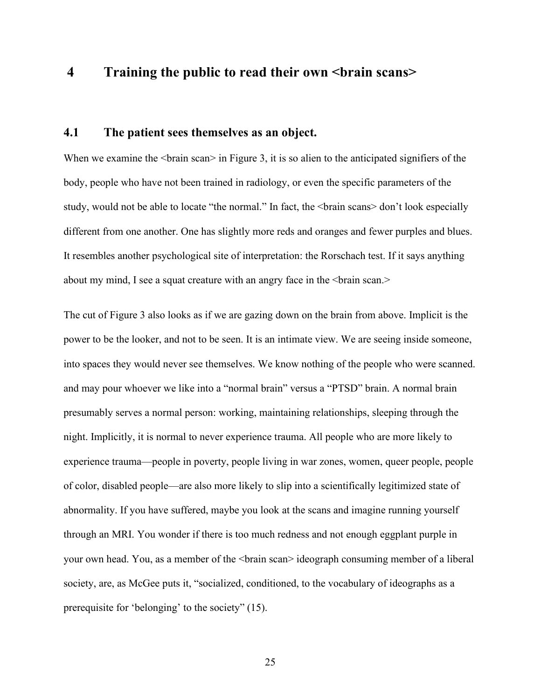### <span id="page-33-0"></span>**4 Training the public to read their own <brain scans>**

#### <span id="page-33-1"></span>**4.1 The patient sees themselves as an object.**

When we examine the  $\langle \text{brain scan} \rangle$  in Figure 3, it is so alien to the anticipated signifiers of the body, people who have not been trained in radiology, or even the specific parameters of the study, would not be able to locate "the normal." In fact, the  $\langle \rangle$ brain scans $\rangle$  don't look especially different from one another. One has slightly more reds and oranges and fewer purples and blues. It resembles another psychological site of interpretation: the Rorschach test. If it says anything about my mind, I see a squat creature with an angry face in the  $\beta$  stain scan.

The cut of Figure 3 also looks as if we are gazing down on the brain from above. Implicit is the power to be the looker, and not to be seen. It is an intimate view. We are seeing inside someone, into spaces they would never see themselves. We know nothing of the people who were scanned. and may pour whoever we like into a "normal brain" versus a "PTSD" brain. A normal brain presumably serves a normal person: working, maintaining relationships, sleeping through the night. Implicitly, it is normal to never experience trauma. All people who are more likely to experience trauma—people in poverty, people living in war zones, women, queer people, people of color, disabled people—are also more likely to slip into a scientifically legitimized state of abnormality. If you have suffered, maybe you look at the scans and imagine running yourself through an MRI. You wonder if there is too much redness and not enough eggplant purple in your own head. You, as a member of the  $\langle \rangle$ brain scan $\rangle$  ideograph consuming member of a liberal society, are, as McGee puts it, "socialized, conditioned, to the vocabulary of ideographs as a prerequisite for 'belonging' to the society" (15).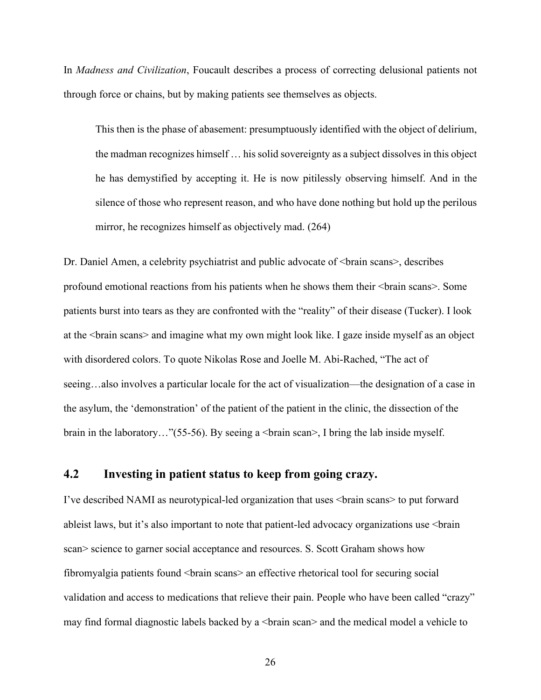In *Madness and Civilization*, Foucault describes a process of correcting delusional patients not through force or chains, but by making patients see themselves as objects.

This then is the phase of abasement: presumptuously identified with the object of delirium, the madman recognizes himself … his solid sovereignty as a subject dissolves in this object he has demystified by accepting it. He is now pitilessly observing himself. And in the silence of those who represent reason, and who have done nothing but hold up the perilous mirror, he recognizes himself as objectively mad. (264)

Dr. Daniel Amen, a celebrity psychiatrist and public advocate of  $\langle$ brain scans $\rangle$ , describes profound emotional reactions from his patients when he shows them their <br/>brain scans>. Some patients burst into tears as they are confronted with the "reality" of their disease (Tucker). I look at the <br at scans> and imagine what my own might look like. I gaze inside myself as an object with disordered colors. To quote Nikolas Rose and Joelle M. Abi-Rached, "The act of seeing…also involves a particular locale for the act of visualization—the designation of a case in the asylum, the 'demonstration' of the patient of the patient in the clinic, the dissection of the brain in the laboratory..." $(55-56)$ . By seeing a  $\langle$ brain scan $\rangle$ , I bring the lab inside myself.

#### <span id="page-34-0"></span>**4.2 Investing in patient status to keep from going crazy.**

I've described NAMI as neurotypical-led organization that uses <br at scans> to put forward ableist laws, but it's also important to note that patient-led advocacy organizations use <brain scan> science to garner social acceptance and resources. S. Scott Graham shows how fibromyalgia patients found <br ain scans> an effective rhetorical tool for securing social validation and access to medications that relieve their pain. People who have been called "crazy" may find formal diagnostic labels backed by a <br/>brain scan> and the medical model a vehicle to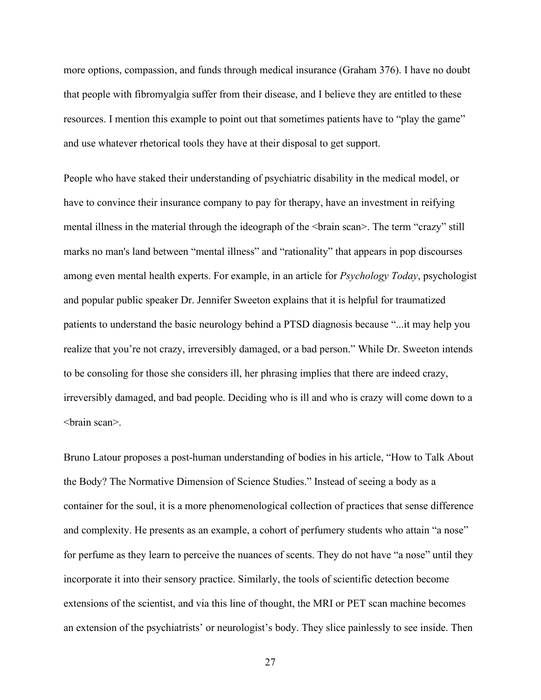more options, compassion, and funds through medical insurance (Graham 376). I have no doubt that people with fibromyalgia suffer from their disease, and I believe they are entitled to these resources. I mention this example to point out that sometimes patients have to "play the game" and use whatever rhetorical tools they have at their disposal to get support.

People who have staked their understanding of psychiatric disability in the medical model, or have to convince their insurance company to pay for therapy, have an investment in reifying mental illness in the material through the ideograph of the  $\beta$  -brain scan $\beta$ . The term "crazy" still marks no man's land between "mental illness" and "rationality" that appears in pop discourses among even mental health experts. For example, in an article for *Psychology Today*, psychologist and popular public speaker Dr. Jennifer Sweeton explains that it is helpful for traumatized patients to understand the basic neurology behind a PTSD diagnosis because "...it may help you realize that you're not crazy, irreversibly damaged, or a bad person." While Dr. Sweeton intends to be consoling for those she considers ill, her phrasing implies that there are indeed crazy, irreversibly damaged, and bad people. Deciding who is ill and who is crazy will come down to a <brain scan>.

Bruno Latour proposes a post-human understanding of bodies in his article, "How to Talk About the Body? The Normative Dimension of Science Studies." Instead of seeing a body as a container for the soul, it is a more phenomenological collection of practices that sense difference and complexity. He presents as an example, a cohort of perfumery students who attain "a nose" for perfume as they learn to perceive the nuances of scents. They do not have "a nose" until they incorporate it into their sensory practice. Similarly, the tools of scientific detection become extensions of the scientist, and via this line of thought, the MRI or PET scan machine becomes an extension of the psychiatrists' or neurologist's body. They slice painlessly to see inside. Then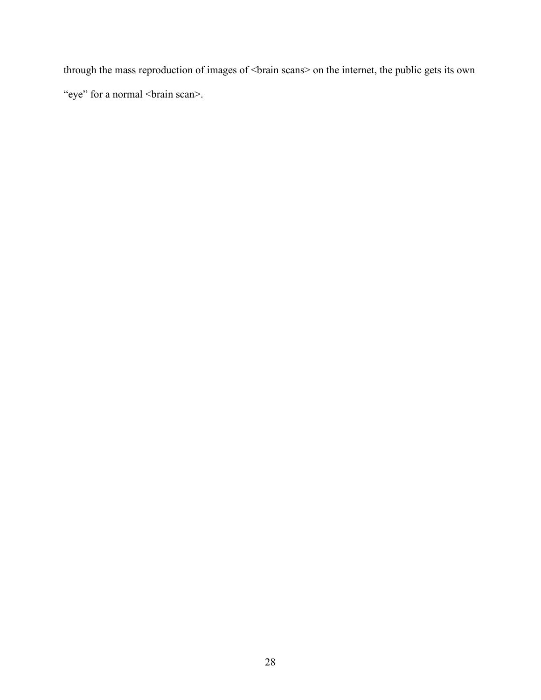through the mass reproduction of images of <br/>brain scans> on the internet, the public gets its own "eye" for a normal <br/>strain scan>.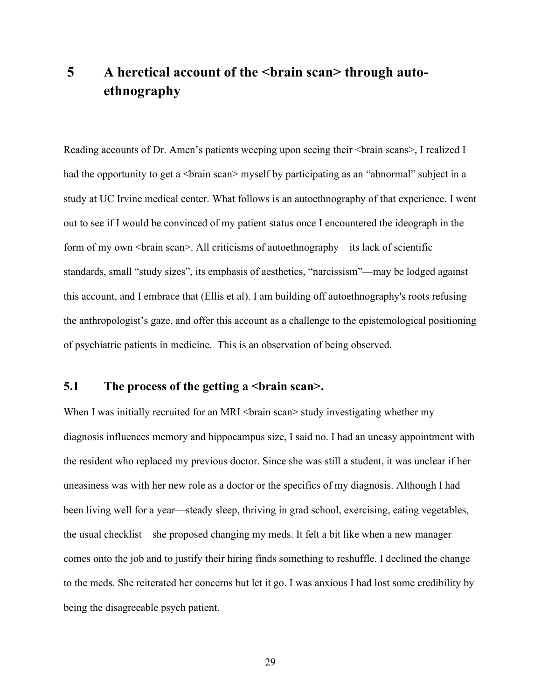## <span id="page-37-0"></span>5 A heretical account of the  $\langle \cdot \rangle$  standard scan  $\langle \cdot \rangle$  through auto**ethnography**

Reading accounts of Dr. Amen's patients weeping upon seeing their <br/>brain scans>, I realized I had the opportunity to get a <br at scan> myself by participating as an "abnormal" subject in a study at UC Irvine medical center. What follows is an autoethnography of that experience. I went out to see if I would be convinced of my patient status once I encountered the ideograph in the form of my own <br/>brain scan>. All criticisms of autoethnography—its lack of scientific standards, small "study sizes", its emphasis of aesthetics, "narcissism"—may be lodged against this account, and I embrace that (Ellis et al). I am building off autoethnography's roots refusing the anthropologist's gaze, and offer this account as a challenge to the epistemological positioning of psychiatric patients in medicine. This is an observation of being observed.

#### <span id="page-37-1"></span>5.1 The process of the getting a  $\langle \cdot \rangle$  shall scan  $\langle \cdot \rangle$ .

When I was initially recruited for an MRI <br/>brain scan> study investigating whether my diagnosis influences memory and hippocampus size, I said no. I had an uneasy appointment with the resident who replaced my previous doctor. Since she was still a student, it was unclear if her uneasiness was with her new role as a doctor or the specifics of my diagnosis. Although I had been living well for a year—steady sleep, thriving in grad school, exercising, eating vegetables, the usual checklist—she proposed changing my meds. It felt a bit like when a new manager comes onto the job and to justify their hiring finds something to reshuffle. I declined the change to the meds. She reiterated her concerns but let it go. I was anxious I had lost some credibility by being the disagreeable psych patient.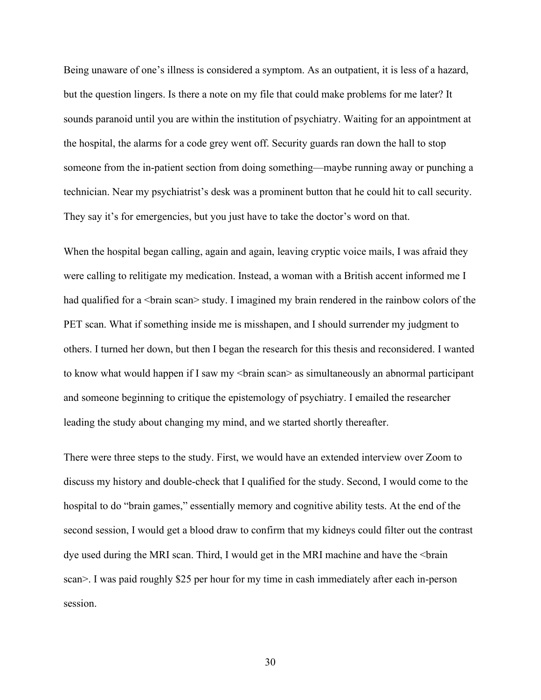Being unaware of one's illness is considered a symptom. As an outpatient, it is less of a hazard, but the question lingers. Is there a note on my file that could make problems for me later? It sounds paranoid until you are within the institution of psychiatry. Waiting for an appointment at the hospital, the alarms for a code grey went off. Security guards ran down the hall to stop someone from the in-patient section from doing something—maybe running away or punching a technician. Near my psychiatrist's desk was a prominent button that he could hit to call security. They say it's for emergencies, but you just have to take the doctor's word on that.

When the hospital began calling, again and again, leaving cryptic voice mails, I was afraid they were calling to relitigate my medication. Instead, a woman with a British accent informed me I had qualified for a <br />brain scan> study. I imagined my brain rendered in the rainbow colors of the PET scan. What if something inside me is misshapen, and I should surrender my judgment to others. I turned her down, but then I began the research for this thesis and reconsidered. I wanted to know what would happen if I saw my  $\delta$  stain scan $\delta$  as simultaneously an abnormal participant and someone beginning to critique the epistemology of psychiatry. I emailed the researcher leading the study about changing my mind, and we started shortly thereafter.

There were three steps to the study. First, we would have an extended interview over Zoom to discuss my history and double-check that I qualified for the study. Second, I would come to the hospital to do "brain games," essentially memory and cognitive ability tests. At the end of the second session, I would get a blood draw to confirm that my kidneys could filter out the contrast dye used during the MRI scan. Third, I would get in the MRI machine and have the <brain scan>. I was paid roughly \$25 per hour for my time in cash immediately after each in-person session.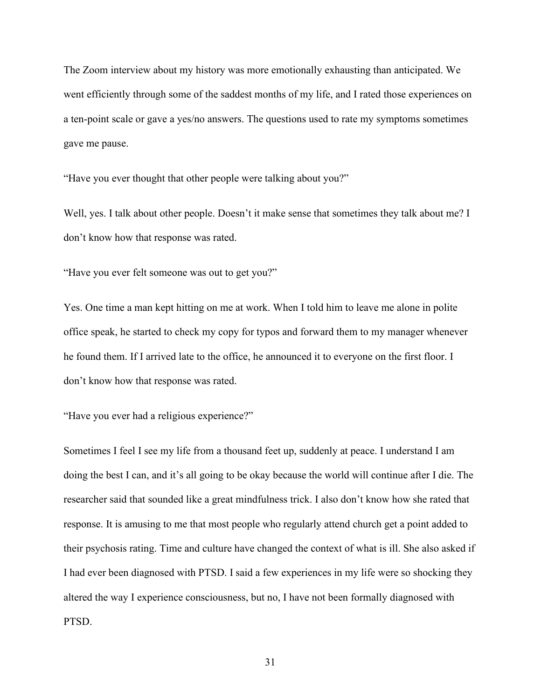The Zoom interview about my history was more emotionally exhausting than anticipated. We went efficiently through some of the saddest months of my life, and I rated those experiences on a ten-point scale or gave a yes/no answers. The questions used to rate my symptoms sometimes gave me pause.

"Have you ever thought that other people were talking about you?"

Well, yes. I talk about other people. Doesn't it make sense that sometimes they talk about me? I don't know how that response was rated.

"Have you ever felt someone was out to get you?"

Yes. One time a man kept hitting on me at work. When I told him to leave me alone in polite office speak, he started to check my copy for typos and forward them to my manager whenever he found them. If I arrived late to the office, he announced it to everyone on the first floor. I don't know how that response was rated.

"Have you ever had a religious experience?"

Sometimes I feel I see my life from a thousand feet up, suddenly at peace. I understand I am doing the best I can, and it's all going to be okay because the world will continue after I die. The researcher said that sounded like a great mindfulness trick. I also don't know how she rated that response. It is amusing to me that most people who regularly attend church get a point added to their psychosis rating. Time and culture have changed the context of what is ill. She also asked if I had ever been diagnosed with PTSD. I said a few experiences in my life were so shocking they altered the way I experience consciousness, but no, I have not been formally diagnosed with PTSD.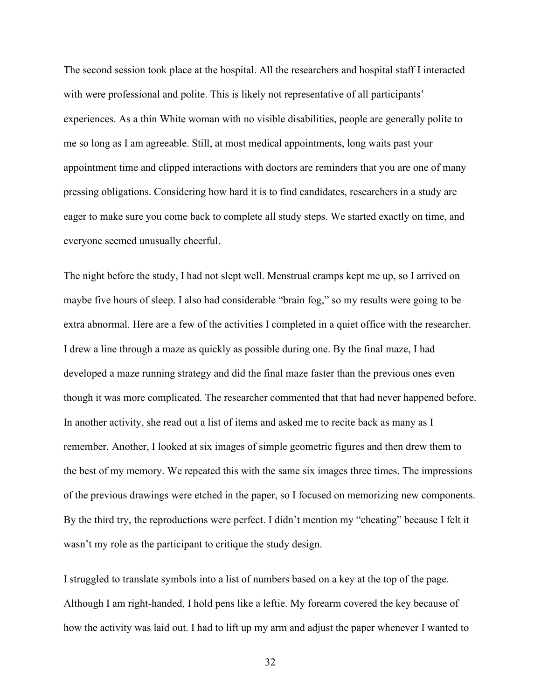The second session took place at the hospital. All the researchers and hospital staff I interacted with were professional and polite. This is likely not representative of all participants' experiences. As a thin White woman with no visible disabilities, people are generally polite to me so long as I am agreeable. Still, at most medical appointments, long waits past your appointment time and clipped interactions with doctors are reminders that you are one of many pressing obligations. Considering how hard it is to find candidates, researchers in a study are eager to make sure you come back to complete all study steps. We started exactly on time, and everyone seemed unusually cheerful.

The night before the study, I had not slept well. Menstrual cramps kept me up, so I arrived on maybe five hours of sleep. I also had considerable "brain fog," so my results were going to be extra abnormal. Here are a few of the activities I completed in a quiet office with the researcher. I drew a line through a maze as quickly as possible during one. By the final maze, I had developed a maze running strategy and did the final maze faster than the previous ones even though it was more complicated. The researcher commented that that had never happened before. In another activity, she read out a list of items and asked me to recite back as many as I remember. Another, I looked at six images of simple geometric figures and then drew them to the best of my memory. We repeated this with the same six images three times. The impressions of the previous drawings were etched in the paper, so I focused on memorizing new components. By the third try, the reproductions were perfect. I didn't mention my "cheating" because I felt it wasn't my role as the participant to critique the study design.

I struggled to translate symbols into a list of numbers based on a key at the top of the page. Although I am right-handed, I hold pens like a leftie. My forearm covered the key because of how the activity was laid out. I had to lift up my arm and adjust the paper whenever I wanted to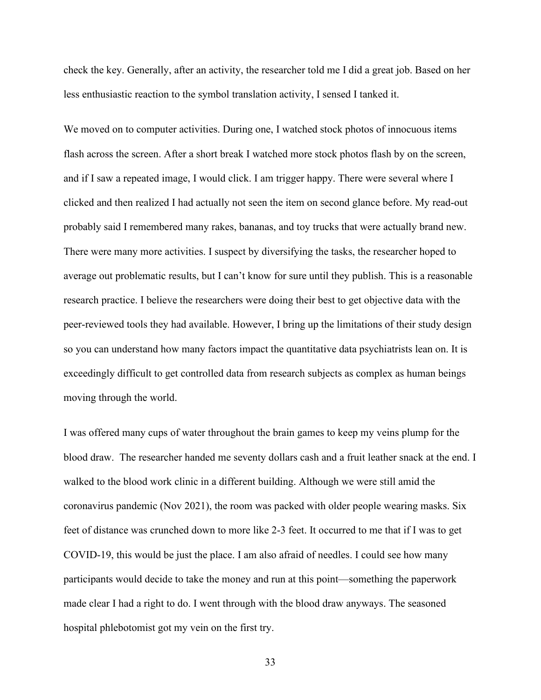check the key. Generally, after an activity, the researcher told me I did a great job. Based on her less enthusiastic reaction to the symbol translation activity, I sensed I tanked it.

We moved on to computer activities. During one, I watched stock photos of innocuous items flash across the screen. After a short break I watched more stock photos flash by on the screen, and if I saw a repeated image, I would click. I am trigger happy. There were several where I clicked and then realized I had actually not seen the item on second glance before. My read-out probably said I remembered many rakes, bananas, and toy trucks that were actually brand new. There were many more activities. I suspect by diversifying the tasks, the researcher hoped to average out problematic results, but I can't know for sure until they publish. This is a reasonable research practice. I believe the researchers were doing their best to get objective data with the peer-reviewed tools they had available. However, I bring up the limitations of their study design so you can understand how many factors impact the quantitative data psychiatrists lean on. It is exceedingly difficult to get controlled data from research subjects as complex as human beings moving through the world.

I was offered many cups of water throughout the brain games to keep my veins plump for the blood draw. The researcher handed me seventy dollars cash and a fruit leather snack at the end. I walked to the blood work clinic in a different building. Although we were still amid the coronavirus pandemic (Nov 2021), the room was packed with older people wearing masks. Six feet of distance was crunched down to more like 2-3 feet. It occurred to me that if I was to get COVID-19, this would be just the place. I am also afraid of needles. I could see how many participants would decide to take the money and run at this point—something the paperwork made clear I had a right to do. I went through with the blood draw anyways. The seasoned hospital phlebotomist got my vein on the first try.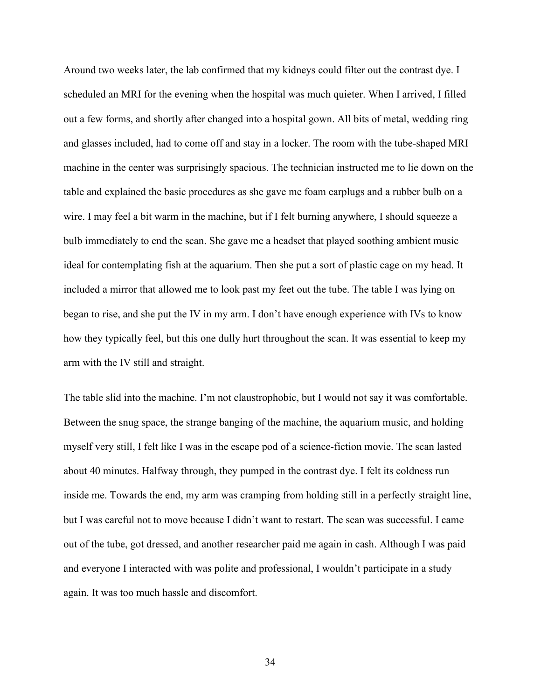Around two weeks later, the lab confirmed that my kidneys could filter out the contrast dye. I scheduled an MRI for the evening when the hospital was much quieter. When I arrived, I filled out a few forms, and shortly after changed into a hospital gown. All bits of metal, wedding ring and glasses included, had to come off and stay in a locker. The room with the tube-shaped MRI machine in the center was surprisingly spacious. The technician instructed me to lie down on the table and explained the basic procedures as she gave me foam earplugs and a rubber bulb on a wire. I may feel a bit warm in the machine, but if I felt burning anywhere, I should squeeze a bulb immediately to end the scan. She gave me a headset that played soothing ambient music ideal for contemplating fish at the aquarium. Then she put a sort of plastic cage on my head. It included a mirror that allowed me to look past my feet out the tube. The table I was lying on began to rise, and she put the IV in my arm. I don't have enough experience with IVs to know how they typically feel, but this one dully hurt throughout the scan. It was essential to keep my arm with the IV still and straight.

The table slid into the machine. I'm not claustrophobic, but I would not say it was comfortable. Between the snug space, the strange banging of the machine, the aquarium music, and holding myself very still, I felt like I was in the escape pod of a science-fiction movie. The scan lasted about 40 minutes. Halfway through, they pumped in the contrast dye. I felt its coldness run inside me. Towards the end, my arm was cramping from holding still in a perfectly straight line, but I was careful not to move because I didn't want to restart. The scan was successful. I came out of the tube, got dressed, and another researcher paid me again in cash. Although I was paid and everyone I interacted with was polite and professional, I wouldn't participate in a study again. It was too much hassle and discomfort.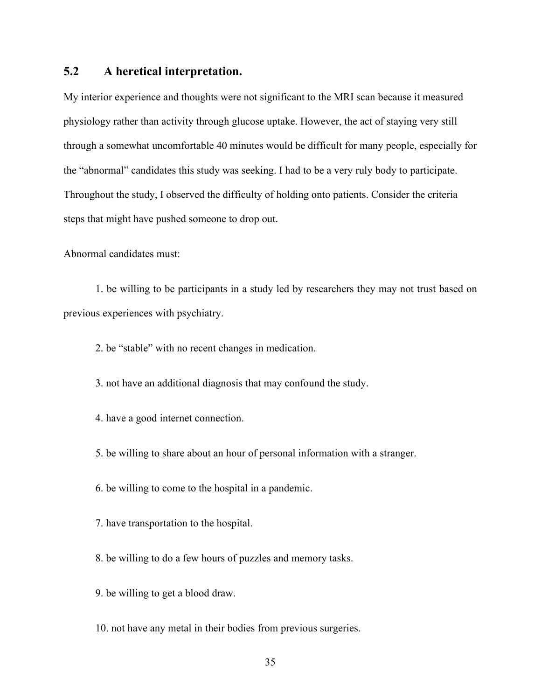#### <span id="page-43-0"></span>**5.2 A heretical interpretation.**

My interior experience and thoughts were not significant to the MRI scan because it measured physiology rather than activity through glucose uptake. However, the act of staying very still through a somewhat uncomfortable 40 minutes would be difficult for many people, especially for the "abnormal" candidates this study was seeking. I had to be a very ruly body to participate. Throughout the study, I observed the difficulty of holding onto patients. Consider the criteria steps that might have pushed someone to drop out.

Abnormal candidates must:

1. be willing to be participants in a study led by researchers they may not trust based on previous experiences with psychiatry.

2. be "stable" with no recent changes in medication.

3. not have an additional diagnosis that may confound the study.

4. have a good internet connection.

5. be willing to share about an hour of personal information with a stranger.

6. be willing to come to the hospital in a pandemic.

7. have transportation to the hospital.

8. be willing to do a few hours of puzzles and memory tasks.

9. be willing to get a blood draw.

10. not have any metal in their bodies from previous surgeries.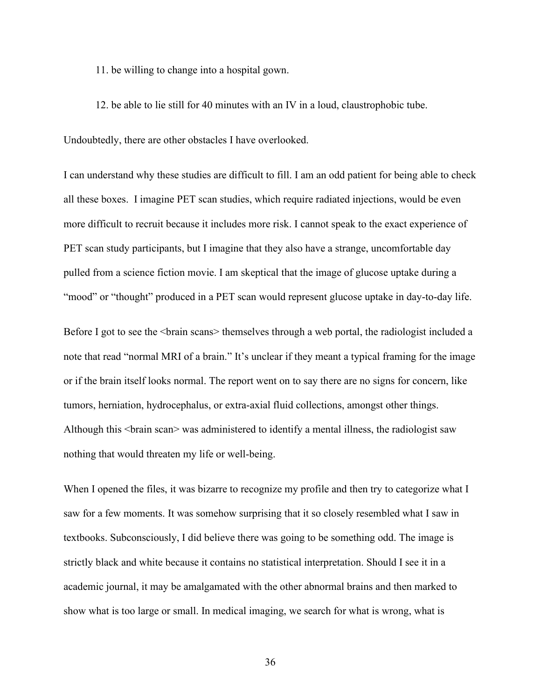11. be willing to change into a hospital gown.

12. be able to lie still for 40 minutes with an IV in a loud, claustrophobic tube.

Undoubtedly, there are other obstacles I have overlooked.

I can understand why these studies are difficult to fill. I am an odd patient for being able to check all these boxes. I imagine PET scan studies, which require radiated injections, would be even more difficult to recruit because it includes more risk. I cannot speak to the exact experience of PET scan study participants, but I imagine that they also have a strange, uncomfortable day pulled from a science fiction movie. I am skeptical that the image of glucose uptake during a "mood" or "thought" produced in a PET scan would represent glucose uptake in day-to-day life.

Before I got to see the <brain scans> themselves through a web portal, the radiologist included a note that read "normal MRI of a brain." It's unclear if they meant a typical framing for the image or if the brain itself looks normal. The report went on to say there are no signs for concern, like tumors, herniation, hydrocephalus, or extra-axial fluid collections, amongst other things. Although this <br at a scan> was administered to identify a mental illness, the radiologist saw nothing that would threaten my life or well-being.

When I opened the files, it was bizarre to recognize my profile and then try to categorize what I saw for a few moments. It was somehow surprising that it so closely resembled what I saw in textbooks. Subconsciously, I did believe there was going to be something odd. The image is strictly black and white because it contains no statistical interpretation. Should I see it in a academic journal, it may be amalgamated with the other abnormal brains and then marked to show what is too large or small. In medical imaging, we search for what is wrong, what is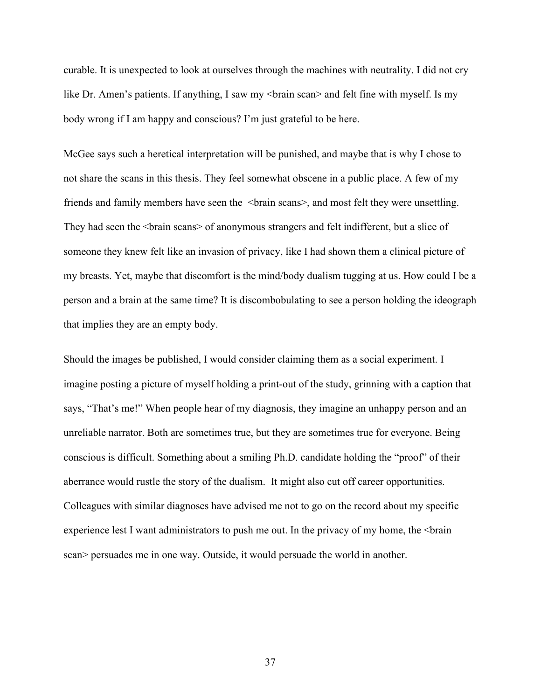curable. It is unexpected to look at ourselves through the machines with neutrality. I did not cry like Dr. Amen's patients. If anything, I saw my  $\langle \rangle$  shall scan and felt fine with myself. Is my body wrong if I am happy and conscious? I'm just grateful to be here.

McGee says such a heretical interpretation will be punished, and maybe that is why I chose to not share the scans in this thesis. They feel somewhat obscene in a public place. A few of my friends and family members have seen the  $\langle \rangle$  shall scans  $\rangle$ , and most felt they were unsettling. They had seen the  $\langle \text{brain scans} \rangle$  of anonymous strangers and felt indifferent, but a slice of someone they knew felt like an invasion of privacy, like I had shown them a clinical picture of my breasts. Yet, maybe that discomfort is the mind/body dualism tugging at us. How could I be a person and a brain at the same time? It is discombobulating to see a person holding the ideograph that implies they are an empty body.

Should the images be published, I would consider claiming them as a social experiment. I imagine posting a picture of myself holding a print-out of the study, grinning with a caption that says, "That's me!" When people hear of my diagnosis, they imagine an unhappy person and an unreliable narrator. Both are sometimes true, but they are sometimes true for everyone. Being conscious is difficult. Something about a smiling Ph.D. candidate holding the "proof" of their aberrance would rustle the story of the dualism. It might also cut off career opportunities. Colleagues with similar diagnoses have advised me not to go on the record about my specific experience lest I want administrators to push me out. In the privacy of my home, the  $\triangle$ brain scan> persuades me in one way. Outside, it would persuade the world in another.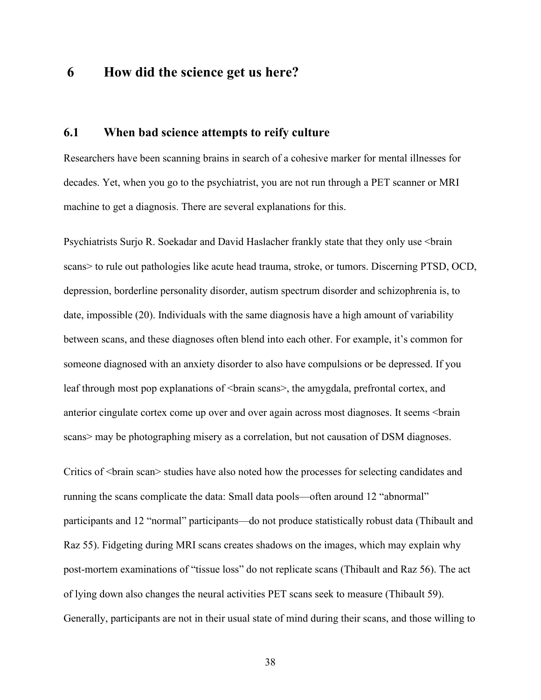### <span id="page-46-0"></span>**6 How did the science get us here?**

#### <span id="page-46-1"></span>**6.1 When bad science attempts to reify culture**

Researchers have been scanning brains in search of a cohesive marker for mental illnesses for decades. Yet, when you go to the psychiatrist, you are not run through a PET scanner or MRI machine to get a diagnosis. There are several explanations for this.

Psychiatrists Surjo R. Soekadar and David Haslacher frankly state that they only use  $\leq$ brain scans> to rule out pathologies like acute head trauma, stroke, or tumors. Discerning PTSD, OCD, depression, borderline personality disorder, autism spectrum disorder and schizophrenia is, to date, impossible (20). Individuals with the same diagnosis have a high amount of variability between scans, and these diagnoses often blend into each other. For example, it's common for someone diagnosed with an anxiety disorder to also have compulsions or be depressed. If you leaf through most pop explanations of  $\langle \text{brain scans} \rangle$ , the amygdala, prefrontal cortex, and anterior cingulate cortex come up over and over again across most diagnoses. It seems  $\leq$ brain scans> may be photographing misery as a correlation, but not causation of DSM diagnoses.

Critics of  $\langle$ brain scan $\rangle$  studies have also noted how the processes for selecting candidates and running the scans complicate the data: Small data pools—often around 12 "abnormal" participants and 12 "normal" participants—do not produce statistically robust data (Thibault and Raz 55). Fidgeting during MRI scans creates shadows on the images, which may explain why post-mortem examinations of "tissue loss" do not replicate scans (Thibault and Raz 56). The act of lying down also changes the neural activities PET scans seek to measure (Thibault 59). Generally, participants are not in their usual state of mind during their scans, and those willing to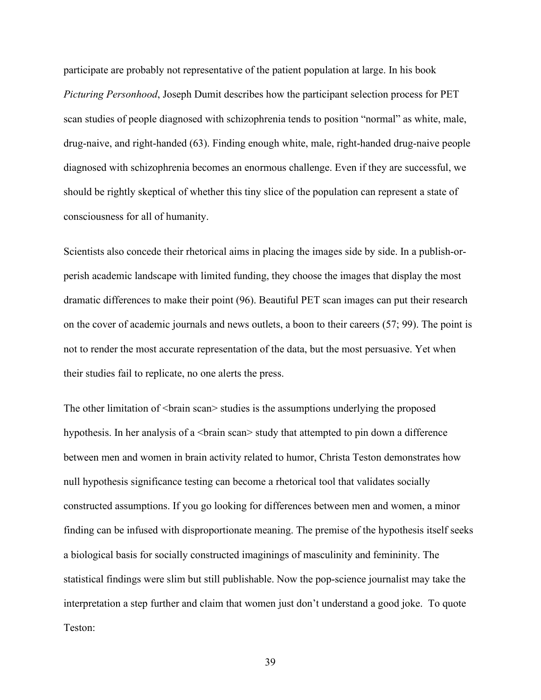participate are probably not representative of the patient population at large. In his book *Picturing Personhood*, Joseph Dumit describes how the participant selection process for PET scan studies of people diagnosed with schizophrenia tends to position "normal" as white, male, drug-naive, and right-handed (63). Finding enough white, male, right-handed drug-naive people diagnosed with schizophrenia becomes an enormous challenge. Even if they are successful, we should be rightly skeptical of whether this tiny slice of the population can represent a state of consciousness for all of humanity.

Scientists also concede their rhetorical aims in placing the images side by side. In a publish-orperish academic landscape with limited funding, they choose the images that display the most dramatic differences to make their point (96). Beautiful PET scan images can put their research on the cover of academic journals and news outlets, a boon to their careers (57; 99). The point is not to render the most accurate representation of the data, but the most persuasive. Yet when their studies fail to replicate, no one alerts the press.

The other limitation of <br/>brain scan> studies is the assumptions underlying the proposed hypothesis. In her analysis of a  $\langle \rangle$  brain scan $\rangle$  study that attempted to pin down a difference between men and women in brain activity related to humor, Christa Teston demonstrates how null hypothesis significance testing can become a rhetorical tool that validates socially constructed assumptions. If you go looking for differences between men and women, a minor finding can be infused with disproportionate meaning. The premise of the hypothesis itself seeks a biological basis for socially constructed imaginings of masculinity and femininity. The statistical findings were slim but still publishable. Now the pop-science journalist may take the interpretation a step further and claim that women just don't understand a good joke. To quote Teston: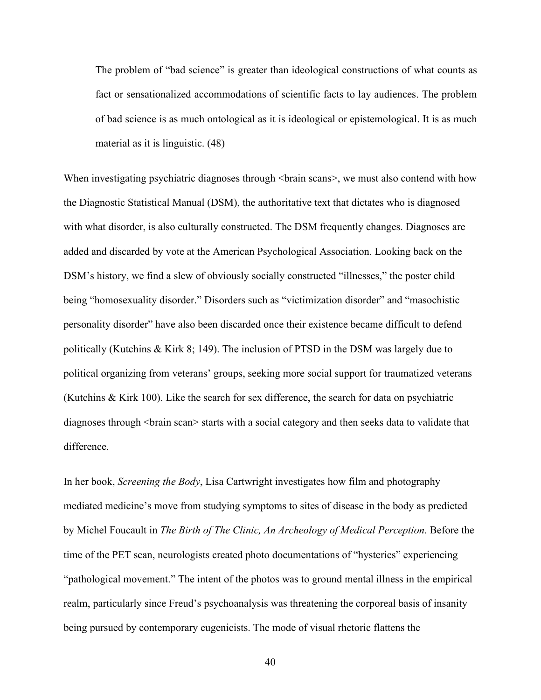The problem of "bad science" is greater than ideological constructions of what counts as fact or sensationalized accommodations of scientific facts to lay audiences. The problem of bad science is as much ontological as it is ideological or epistemological. It is as much material as it is linguistic. (48)

When investigating psychiatric diagnoses through <br/>brain scans>, we must also contend with how the Diagnostic Statistical Manual (DSM), the authoritative text that dictates who is diagnosed with what disorder, is also culturally constructed. The DSM frequently changes. Diagnoses are added and discarded by vote at the American Psychological Association. Looking back on the DSM's history, we find a slew of obviously socially constructed "illnesses," the poster child being "homosexuality disorder." Disorders such as "victimization disorder" and "masochistic personality disorder" have also been discarded once their existence became difficult to defend politically (Kutchins & Kirk 8; 149). The inclusion of PTSD in the DSM was largely due to political organizing from veterans' groups, seeking more social support for traumatized veterans (Kutchins & Kirk 100). Like the search for sex difference, the search for data on psychiatric diagnoses through <br/>brain scan> starts with a social category and then seeks data to validate that difference.

In her book, *Screening the Body*, Lisa Cartwright investigates how film and photography mediated medicine's move from studying symptoms to sites of disease in the body as predicted by Michel Foucault in *The Birth of The Clinic, An Archeology of Medical Perception*. Before the time of the PET scan, neurologists created photo documentations of "hysterics" experiencing "pathological movement." The intent of the photos was to ground mental illness in the empirical realm, particularly since Freud's psychoanalysis was threatening the corporeal basis of insanity being pursued by contemporary eugenicists. The mode of visual rhetoric flattens the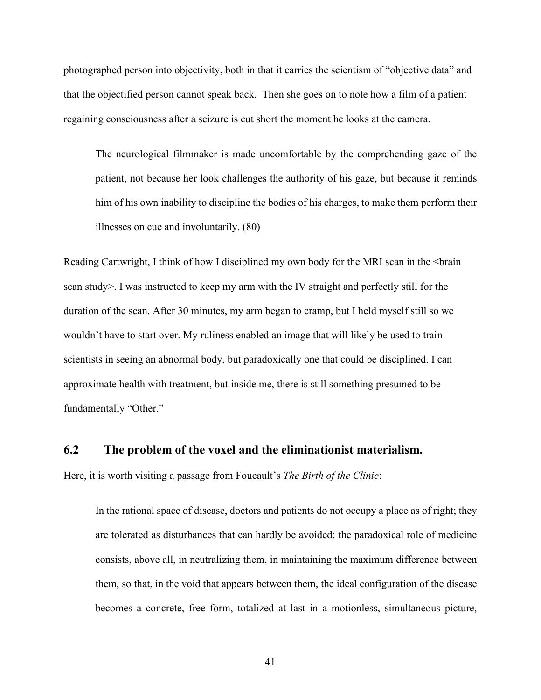photographed person into objectivity, both in that it carries the scientism of "objective data" and that the objectified person cannot speak back. Then she goes on to note how a film of a patient regaining consciousness after a seizure is cut short the moment he looks at the camera.

The neurological filmmaker is made uncomfortable by the comprehending gaze of the patient, not because her look challenges the authority of his gaze, but because it reminds him of his own inability to discipline the bodies of his charges, to make them perform their illnesses on cue and involuntarily. (80)

Reading Cartwright, I think of how I disciplined my own body for the MRI scan in the <br/>strain scan study>. I was instructed to keep my arm with the IV straight and perfectly still for the duration of the scan. After 30 minutes, my arm began to cramp, but I held myself still so we wouldn't have to start over. My ruliness enabled an image that will likely be used to train scientists in seeing an abnormal body, but paradoxically one that could be disciplined. I can approximate health with treatment, but inside me, there is still something presumed to be fundamentally "Other."

#### <span id="page-49-0"></span>**6.2 The problem of the voxel and the eliminationist materialism.**

Here, it is worth visiting a passage from Foucault's *The Birth of the Clinic*:

In the rational space of disease, doctors and patients do not occupy a place as of right; they are tolerated as disturbances that can hardly be avoided: the paradoxical role of medicine consists, above all, in neutralizing them, in maintaining the maximum difference between them, so that, in the void that appears between them, the ideal configuration of the disease becomes a concrete, free form, totalized at last in a motionless, simultaneous picture,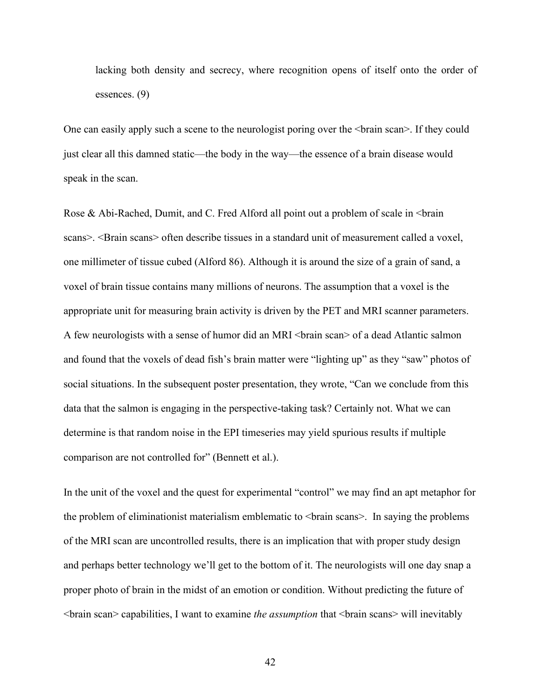lacking both density and secrecy, where recognition opens of itself onto the order of essences. (9)

One can easily apply such a scene to the neurologist poring over the  $\alpha$ just clear all this damned static—the body in the way—the essence of a brain disease would speak in the scan.

Rose & Abi-Rached, Dumit, and C. Fred Alford all point out a problem of scale in  $\triangle$ brain scans>. <Brain scans> often describe tissues in a standard unit of measurement called a voxel, one millimeter of tissue cubed (Alford 86). Although it is around the size of a grain of sand, a voxel of brain tissue contains many millions of neurons. The assumption that a voxel is the appropriate unit for measuring brain activity is driven by the PET and MRI scanner parameters. A few neurologists with a sense of humor did an MRI <br/>brain scan> of a dead Atlantic salmon and found that the voxels of dead fish's brain matter were "lighting up" as they "saw" photos of social situations. In the subsequent poster presentation, they wrote, "Can we conclude from this data that the salmon is engaging in the perspective-taking task? Certainly not. What we can determine is that random noise in the EPI timeseries may yield spurious results if multiple comparison are not controlled for" (Bennett et al.).

In the unit of the voxel and the quest for experimental "control" we may find an apt metaphor for the problem of eliminationist materialism emblematic to  $\langle \text{brain scans} \rangle$ . In saying the problems of the MRI scan are uncontrolled results, there is an implication that with proper study design and perhaps better technology we'll get to the bottom of it. The neurologists will one day snap a proper photo of brain in the midst of an emotion or condition. Without predicting the future of <brain scan> capabilities, I want to examine *the assumption* that <brain scans> will inevitably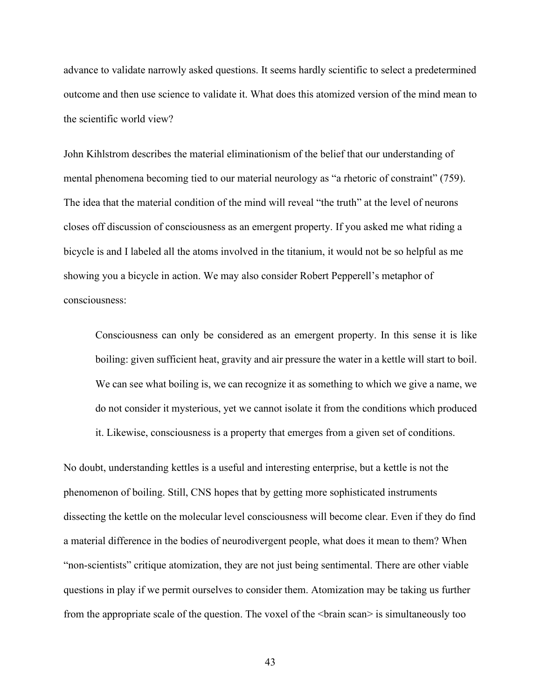advance to validate narrowly asked questions. It seems hardly scientific to select a predetermined outcome and then use science to validate it. What does this atomized version of the mind mean to the scientific world view?

John Kihlstrom describes the material eliminationism of the belief that our understanding of mental phenomena becoming tied to our material neurology as "a rhetoric of constraint" (759). The idea that the material condition of the mind will reveal "the truth" at the level of neurons closes off discussion of consciousness as an emergent property. If you asked me what riding a bicycle is and I labeled all the atoms involved in the titanium, it would not be so helpful as me showing you a bicycle in action. We may also consider Robert Pepperell's metaphor of consciousness:

Consciousness can only be considered as an emergent property. In this sense it is like boiling: given sufficient heat, gravity and air pressure the water in a kettle will start to boil. We can see what boiling is, we can recognize it as something to which we give a name, we do not consider it mysterious, yet we cannot isolate it from the conditions which produced it. Likewise, consciousness is a property that emerges from a given set of conditions.

No doubt, understanding kettles is a useful and interesting enterprise, but a kettle is not the phenomenon of boiling. Still, CNS hopes that by getting more sophisticated instruments dissecting the kettle on the molecular level consciousness will become clear. Even if they do find a material difference in the bodies of neurodivergent people, what does it mean to them? When "non-scientists" critique atomization, they are not just being sentimental. There are other viable questions in play if we permit ourselves to consider them. Atomization may be taking us further from the appropriate scale of the question. The voxel of the  $\langle \text{brain scan} \rangle$  is simultaneously too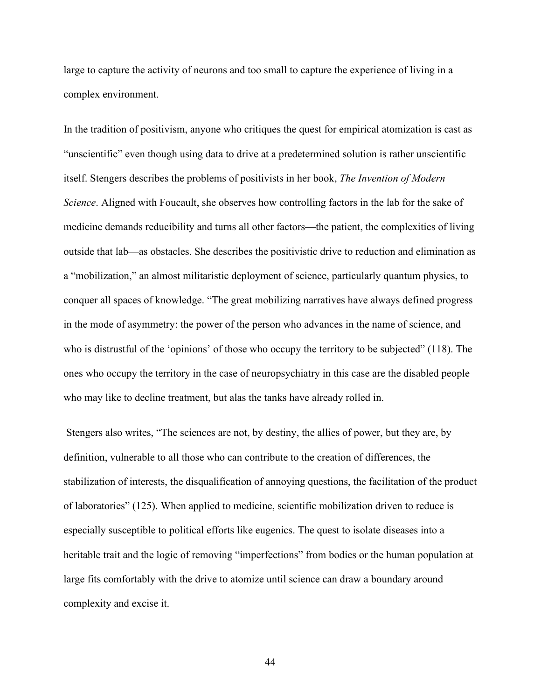large to capture the activity of neurons and too small to capture the experience of living in a complex environment.

In the tradition of positivism, anyone who critiques the quest for empirical atomization is cast as "unscientific" even though using data to drive at a predetermined solution is rather unscientific itself. Stengers describes the problems of positivists in her book, *The Invention of Modern Science*. Aligned with Foucault, she observes how controlling factors in the lab for the sake of medicine demands reducibility and turns all other factors—the patient, the complexities of living outside that lab—as obstacles. She describes the positivistic drive to reduction and elimination as a "mobilization," an almost militaristic deployment of science, particularly quantum physics, to conquer all spaces of knowledge. "The great mobilizing narratives have always defined progress in the mode of asymmetry: the power of the person who advances in the name of science, and who is distrustful of the 'opinions' of those who occupy the territory to be subjected" (118). The ones who occupy the territory in the case of neuropsychiatry in this case are the disabled people who may like to decline treatment, but alas the tanks have already rolled in.

Stengers also writes, "The sciences are not, by destiny, the allies of power, but they are, by definition, vulnerable to all those who can contribute to the creation of differences, the stabilization of interests, the disqualification of annoying questions, the facilitation of the product of laboratories" (125). When applied to medicine, scientific mobilization driven to reduce is especially susceptible to political efforts like eugenics. The quest to isolate diseases into a heritable trait and the logic of removing "imperfections" from bodies or the human population at large fits comfortably with the drive to atomize until science can draw a boundary around complexity and excise it.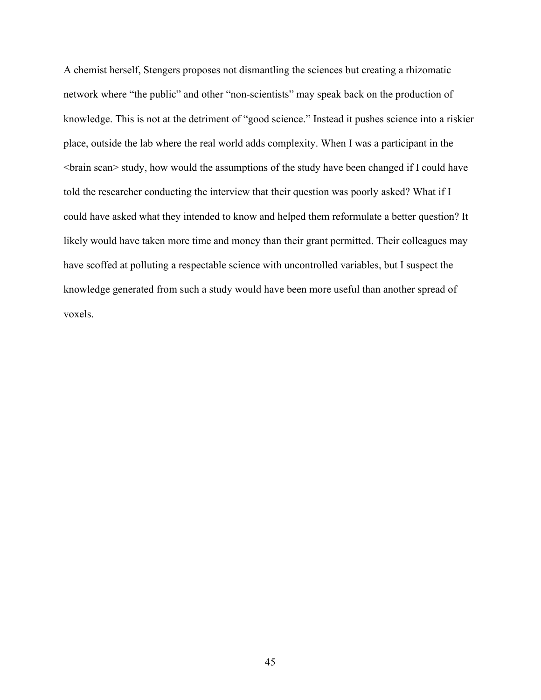A chemist herself, Stengers proposes not dismantling the sciences but creating a rhizomatic network where "the public" and other "non-scientists" may speak back on the production of knowledge. This is not at the detriment of "good science." Instead it pushes science into a riskier place, outside the lab where the real world adds complexity. When I was a participant in the <brain scan> study, how would the assumptions of the study have been changed if I could have told the researcher conducting the interview that their question was poorly asked? What if I could have asked what they intended to know and helped them reformulate a better question? It likely would have taken more time and money than their grant permitted. Their colleagues may have scoffed at polluting a respectable science with uncontrolled variables, but I suspect the knowledge generated from such a study would have been more useful than another spread of voxels.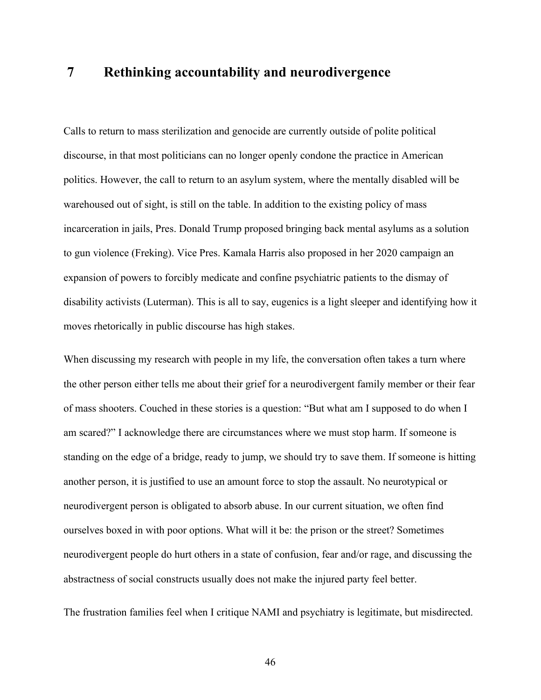### <span id="page-54-0"></span> **7 Rethinking accountability and neurodivergence**

Calls to return to mass sterilization and genocide are currently outside of polite political discourse, in that most politicians can no longer openly condone the practice in American politics. However, the call to return to an asylum system, where the mentally disabled will be warehoused out of sight, is still on the table. In addition to the existing policy of mass incarceration in jails, Pres. Donald Trump proposed bringing back mental asylums as a solution to gun violence (Freking). Vice Pres. Kamala Harris also proposed in her 2020 campaign an expansion of powers to forcibly medicate and confine psychiatric patients to the dismay of disability activists (Luterman). This is all to say, eugenics is a light sleeper and identifying how it moves rhetorically in public discourse has high stakes.

When discussing my research with people in my life, the conversation often takes a turn where the other person either tells me about their grief for a neurodivergent family member or their fear of mass shooters. Couched in these stories is a question: "But what am I supposed to do when I am scared?" I acknowledge there are circumstances where we must stop harm. If someone is standing on the edge of a bridge, ready to jump, we should try to save them. If someone is hitting another person, it is justified to use an amount force to stop the assault. No neurotypical or neurodivergent person is obligated to absorb abuse. In our current situation, we often find ourselves boxed in with poor options. What will it be: the prison or the street? Sometimes neurodivergent people do hurt others in a state of confusion, fear and/or rage, and discussing the abstractness of social constructs usually does not make the injured party feel better.

The frustration families feel when I critique NAMI and psychiatry is legitimate, but misdirected.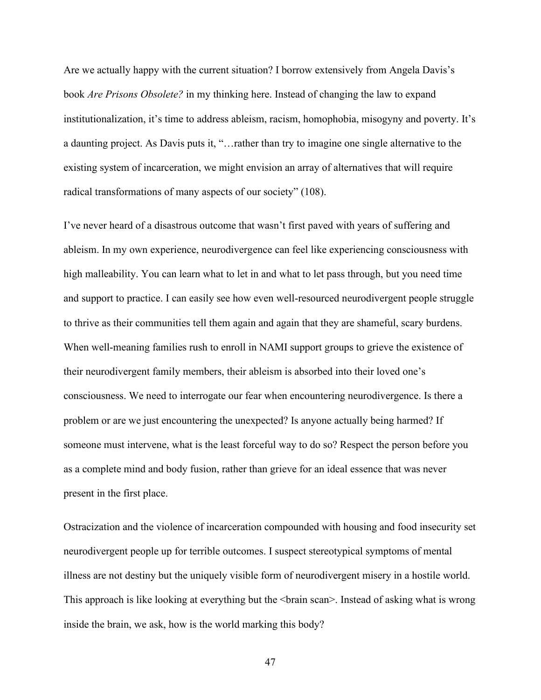Are we actually happy with the current situation? I borrow extensively from Angela Davis's book *Are Prisons Obsolete?* in my thinking here. Instead of changing the law to expand institutionalization, it's time to address ableism, racism, homophobia, misogyny and poverty. It's a daunting project. As Davis puts it, "…rather than try to imagine one single alternative to the existing system of incarceration, we might envision an array of alternatives that will require radical transformations of many aspects of our society" (108).

I've never heard of a disastrous outcome that wasn't first paved with years of suffering and ableism. In my own experience, neurodivergence can feel like experiencing consciousness with high malleability. You can learn what to let in and what to let pass through, but you need time and support to practice. I can easily see how even well-resourced neurodivergent people struggle to thrive as their communities tell them again and again that they are shameful, scary burdens. When well-meaning families rush to enroll in NAMI support groups to grieve the existence of their neurodivergent family members, their ableism is absorbed into their loved one's consciousness. We need to interrogate our fear when encountering neurodivergence. Is there a problem or are we just encountering the unexpected? Is anyone actually being harmed? If someone must intervene, what is the least forceful way to do so? Respect the person before you as a complete mind and body fusion, rather than grieve for an ideal essence that was never present in the first place.

Ostracization and the violence of incarceration compounded with housing and food insecurity set neurodivergent people up for terrible outcomes. I suspect stereotypical symptoms of mental illness are not destiny but the uniquely visible form of neurodivergent misery in a hostile world. This approach is like looking at everything but the  $\beta$  shain scan >. Instead of asking what is wrong inside the brain, we ask, how is the world marking this body?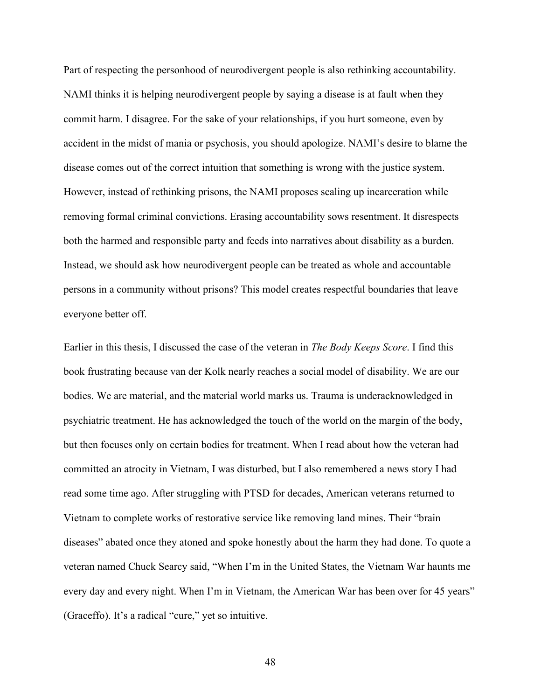Part of respecting the personhood of neurodivergent people is also rethinking accountability. NAMI thinks it is helping neurodivergent people by saying a disease is at fault when they commit harm. I disagree. For the sake of your relationships, if you hurt someone, even by accident in the midst of mania or psychosis, you should apologize. NAMI's desire to blame the disease comes out of the correct intuition that something is wrong with the justice system. However, instead of rethinking prisons, the NAMI proposes scaling up incarceration while removing formal criminal convictions. Erasing accountability sows resentment. It disrespects both the harmed and responsible party and feeds into narratives about disability as a burden. Instead, we should ask how neurodivergent people can be treated as whole and accountable persons in a community without prisons? This model creates respectful boundaries that leave everyone better off.

Earlier in this thesis, I discussed the case of the veteran in *The Body Keeps Score*. I find this book frustrating because van der Kolk nearly reaches a social model of disability. We are our bodies. We are material, and the material world marks us. Trauma is underacknowledged in psychiatric treatment. He has acknowledged the touch of the world on the margin of the body, but then focuses only on certain bodies for treatment. When I read about how the veteran had committed an atrocity in Vietnam, I was disturbed, but I also remembered a news story I had read some time ago. After struggling with PTSD for decades, American veterans returned to Vietnam to complete works of restorative service like removing land mines. Their "brain diseases" abated once they atoned and spoke honestly about the harm they had done. To quote a veteran named Chuck Searcy said, "When I'm in the United States, the Vietnam War haunts me every day and every night. When I'm in Vietnam, the American War has been over for 45 years" (Graceffo). It's a radical "cure," yet so intuitive.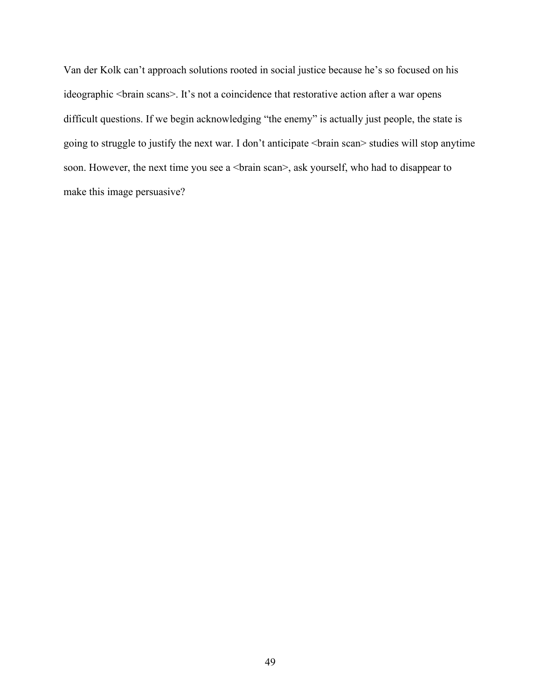Van der Kolk can't approach solutions rooted in social justice because he's so focused on his ideographic <br/>stain scans>. It's not a coincidence that restorative action after a war opens difficult questions. If we begin acknowledging "the enemy" is actually just people, the state is going to struggle to justify the next war. I don't anticipate <br/>brain scan> studies will stop anytime soon. However, the next time you see a <br/>brain scan>, ask yourself, who had to disappear to make this image persuasive?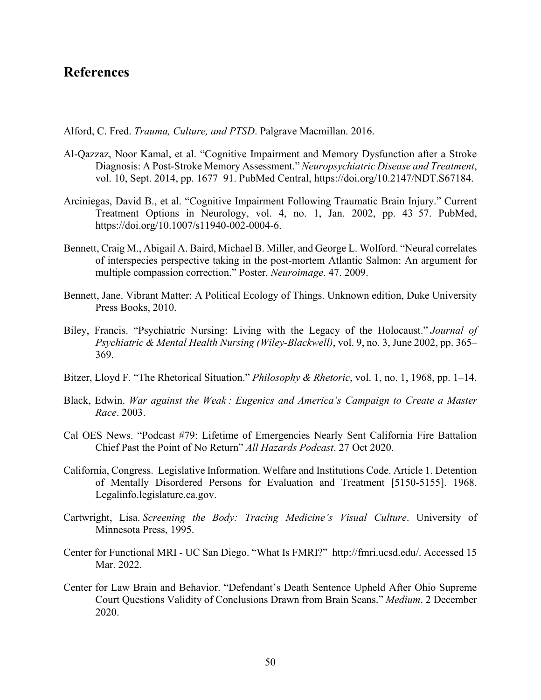### <span id="page-58-0"></span>**References**

Alford, C. Fred. *Trauma, Culture, and PTSD*. Palgrave Macmillan. 2016.

- Al-Qazzaz, Noor Kamal, et al. "Cognitive Impairment and Memory Dysfunction after a Stroke Diagnosis: A Post-Stroke Memory Assessment." *Neuropsychiatric Disease and Treatment*, vol. 10, Sept. 2014, pp. 1677–91. PubMed Central, https://doi.org/10.2147/NDT.S67184.
- Arciniegas, David B., et al. "Cognitive Impairment Following Traumatic Brain Injury." Current Treatment Options in Neurology, vol. 4, no. 1, Jan. 2002, pp. 43–57. PubMed, https://doi.org/10.1007/s11940-002-0004-6.
- Bennett, Craig M., Abigail A. Baird, Michael B. Miller, and George L. Wolford. "Neural correlates of interspecies perspective taking in the post-mortem Atlantic Salmon: An argument for multiple compassion correction." Poster. *Neuroimage*. 47. 2009.
- Bennett, Jane. Vibrant Matter: A Political Ecology of Things. Unknown edition, Duke University Press Books, 2010.
- Biley, Francis. "Psychiatric Nursing: Living with the Legacy of the Holocaust." *Journal of Psychiatric & Mental Health Nursing (Wiley-Blackwell)*, vol. 9, no. 3, June 2002, pp. 365– 369.
- Bitzer, Lloyd F. "The Rhetorical Situation." *Philosophy & Rhetoric*, vol. 1, no. 1, 1968, pp. 1–14.
- Black, Edwin. *War against the Weak : Eugenics and America's Campaign to Create a Master Race*. 2003.
- Cal OES News. "Podcast #79: Lifetime of Emergencies Nearly Sent California Fire Battalion Chief Past the Point of No Return" *All Hazards Podcast*. 27 Oct 2020.
- California, Congress. Legislative Information. Welfare and Institutions Code. Article 1. Detention of Mentally Disordered Persons for Evaluation and Treatment [5150-5155]. 1968. Legalinfo.legislature.ca.gov.
- Cartwright, Lisa. *Screening the Body: Tracing Medicine's Visual Culture*. University of Minnesota Press, 1995.
- Center for Functional MRI UC San Diego. "What Is FMRI?" http://fmri.ucsd.edu/. Accessed 15 Mar. 2022.
- Center for Law Brain and Behavior. "Defendant's Death Sentence Upheld After Ohio Supreme Court Questions Validity of Conclusions Drawn from Brain Scans." *Medium*. 2 December 2020.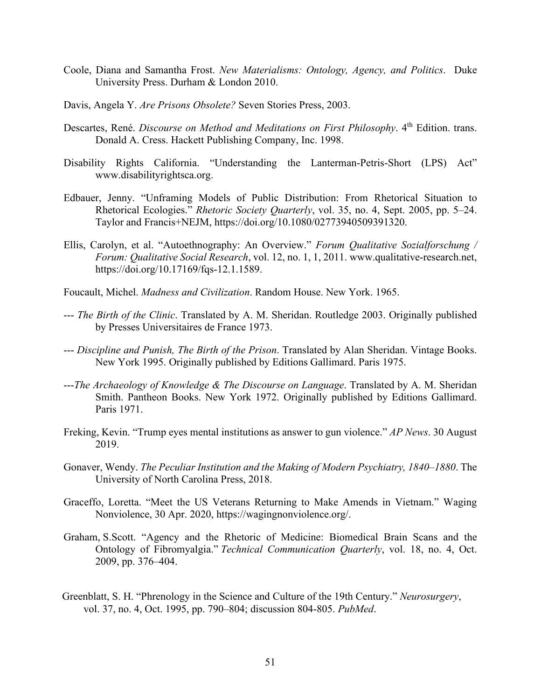- Coole, Diana and Samantha Frost. *New Materialisms: Ontology, Agency, and Politics*. Duke University Press. Durham & London 2010.
- Davis, Angela Y. *Are Prisons Obsolete?* Seven Stories Press, 2003.
- Descartes, René. *Discourse on Method and Meditations on First Philosophy*. 4<sup>th</sup> Edition. trans. Donald A. Cress. Hackett Publishing Company, Inc. 1998.
- Disability Rights California. "Understanding the Lanterman-Petris-Short (LPS) Act" www.disabilityrightsca.org.
- Edbauer, Jenny. "Unframing Models of Public Distribution: From Rhetorical Situation to Rhetorical Ecologies." *Rhetoric Society Quarterly*, vol. 35, no. 4, Sept. 2005, pp. 5–24. Taylor and Francis+NEJM, https://doi.org/10.1080/02773940509391320.
- Ellis, Carolyn, et al. "Autoethnography: An Overview." *Forum Qualitative Sozialforschung / Forum: Qualitative Social Research*, vol. 12, no. 1, 1, 2011. www.qualitative-research.net, https://doi.org/10.17169/fqs-12.1.1589.
- Foucault, Michel. *Madness and Civilization*. Random House. New York. 1965.
- --- *The Birth of the Clinic*. Translated by A. M. Sheridan. Routledge 2003. Originally published by Presses Universitaires de France 1973.
- --- *Discipline and Punish, The Birth of the Prison*. Translated by Alan Sheridan. Vintage Books. New York 1995. Originally published by Editions Gallimard. Paris 1975.
- ---*The Archaeology of Knowledge & The Discourse on Language*. Translated by A. M. Sheridan Smith. Pantheon Books. New York 1972. Originally published by Editions Gallimard. Paris 1971.
- Freking, Kevin. "Trump eyes mental institutions as answer to gun violence." *AP News*. 30 August 2019.
- Gonaver, Wendy. *The Peculiar Institution and the Making of Modern Psychiatry, 1840–1880*. The University of North Carolina Press, 2018.
- Graceffo, Loretta. "Meet the US Veterans Returning to Make Amends in Vietnam." Waging Nonviolence, 30 Apr. 2020, https://wagingnonviolence.org/.
- Graham, S.Scott. "Agency and the Rhetoric of Medicine: Biomedical Brain Scans and the Ontology of Fibromyalgia." *Technical Communication Quarterly*, vol. 18, no. 4, Oct. 2009, pp. 376–404.
- Greenblatt, S. H. "Phrenology in the Science and Culture of the 19th Century." *Neurosurgery*, vol. 37, no. 4, Oct. 1995, pp. 790–804; discussion 804-805. *PubMed*.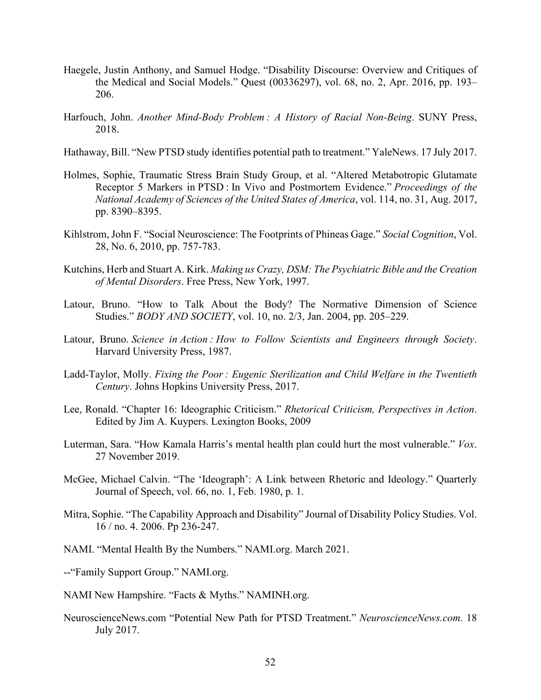- Haegele, Justin Anthony, and Samuel Hodge. "Disability Discourse: Overview and Critiques of the Medical and Social Models." Quest (00336297), vol. 68, no. 2, Apr. 2016, pp. 193– 206.
- Harfouch, John. *Another Mind-Body Problem : A History of Racial Non-Being*. SUNY Press, 2018.
- Hathaway, Bill. "New PTSD study identifies potential path to treatment." YaleNews. 17 July 2017.
- Holmes, Sophie, Traumatic Stress Brain Study Group, et al. "Altered Metabotropic Glutamate Receptor 5 Markers in PTSD : In Vivo and Postmortem Evidence." *Proceedings of the National Academy of Sciences of the United States of America*, vol. 114, no. 31, Aug. 2017, pp. 8390–8395.
- Kihlstrom, John F. "Social Neuroscience: The Footprints of Phineas Gage." *Social Cognition*, Vol. 28, No. 6, 2010, pp. 757-783.
- Kutchins, Herb and Stuart A. Kirk. *Making us Crazy, DSM: The Psychiatric Bible and the Creation of Mental Disorders*. Free Press, New York, 1997.
- Latour, Bruno. "How to Talk About the Body? The Normative Dimension of Science Studies." *BODY AND SOCIETY*, vol. 10, no. 2/3, Jan. 2004, pp. 205–229.
- Latour, Bruno. *Science in Action : How to Follow Scientists and Engineers through Society*. Harvard University Press, 1987.
- Ladd-Taylor, Molly. *Fixing the Poor : Eugenic Sterilization and Child Welfare in the Twentieth Century*. Johns Hopkins University Press, 2017.
- Lee, Ronald. "Chapter 16: Ideographic Criticism." *Rhetorical Criticism, Perspectives in Action*. Edited by Jim A. Kuypers. Lexington Books, 2009
- Luterman, Sara. "How Kamala Harris's mental health plan could hurt the most vulnerable." *Vox*. 27 November 2019.
- McGee, Michael Calvin. "The 'Ideograph': A Link between Rhetoric and Ideology." Quarterly Journal of Speech, vol. 66, no. 1, Feb. 1980, p. 1.
- Mitra, Sophie. "The Capability Approach and Disability" Journal of Disability Policy Studies. Vol. 16 / no. 4. 2006. Pp 236-247.
- NAMI. "Mental Health By the Numbers." NAMI.org. March 2021.
- --"Family Support Group." NAMI.org.
- NAMI New Hampshire. "Facts & Myths." NAMINH.org.
- NeuroscienceNews.com "Potential New Path for PTSD Treatment." *NeuroscienceNews.com.* 18 July 2017.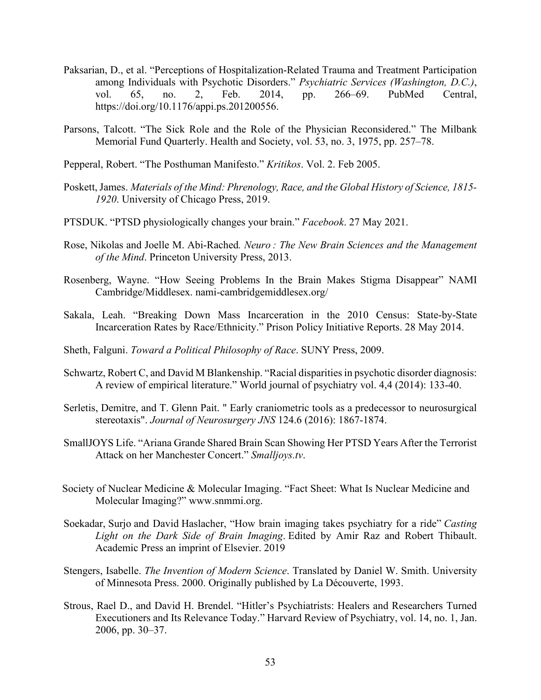- Paksarian, D., et al. "Perceptions of Hospitalization-Related Trauma and Treatment Participation among Individuals with Psychotic Disorders." *Psychiatric Services (Washington, D.C.)*, vol. 65, no. 2, Feb. 2014, pp. 266–69. PubMed Central, https://doi.org/10.1176/appi.ps.201200556.
- Parsons, Talcott. "The Sick Role and the Role of the Physician Reconsidered." The Milbank Memorial Fund Quarterly. Health and Society, vol. 53, no. 3, 1975, pp. 257–78.
- Pepperal, Robert. "The Posthuman Manifesto." *Kritikos*. Vol. 2. Feb 2005.
- Poskett, James. *Materials of the Mind: Phrenology, Race, and the Global History of Science, 1815- 1920*. University of Chicago Press, 2019.
- PTSDUK. "PTSD physiologically changes your brain." *Facebook*. 27 May 2021.
- Rose, Nikolas and Joelle M. Abi-Rached*. Neuro : The New Brain Sciences and the Management of the Mind*. Princeton University Press, 2013.
- Rosenberg, Wayne. "How Seeing Problems In the Brain Makes Stigma Disappear" NAMI Cambridge/Middlesex. nami-cambridgemiddlesex.org/
- Sakala, Leah. "Breaking Down Mass Incarceration in the 2010 Census: State-by-State Incarceration Rates by Race/Ethnicity." Prison Policy Initiative Reports. 28 May 2014.
- Sheth, Falguni. *Toward a Political Philosophy of Race*. SUNY Press, 2009.
- Schwartz, Robert C, and David M Blankenship. "Racial disparities in psychotic disorder diagnosis: A review of empirical literature." World journal of psychiatry vol. 4,4 (2014): 133-40.
- Serletis, Demitre, and T. Glenn Pait. " Early craniometric tools as a predecessor to neurosurgical stereotaxis". *Journal of Neurosurgery JNS* 124.6 (2016): 1867-1874.
- SmallJOYS Life. "Ariana Grande Shared Brain Scan Showing Her PTSD Years After the Terrorist Attack on her Manchester Concert." *Smalljoys.tv*.
- Society of Nuclear Medicine & Molecular Imaging. "Fact Sheet: What Is Nuclear Medicine and Molecular Imaging?" www.snmmi.org.
- Soekadar, Surjo and David Haslacher, "How brain imaging takes psychiatry for a ride" *Casting Light on the Dark Side of Brain Imaging*. Edited by Amir Raz and Robert Thibault. Academic Press an imprint of Elsevier. 2019
- Stengers, Isabelle. *The Invention of Modern Science*. Translated by Daniel W. Smith. University of Minnesota Press. 2000. Originally published by La Découverte, 1993.
- Strous, Rael D., and David H. Brendel. "Hitler's Psychiatrists: Healers and Researchers Turned Executioners and Its Relevance Today." Harvard Review of Psychiatry, vol. 14, no. 1, Jan. 2006, pp. 30–37.